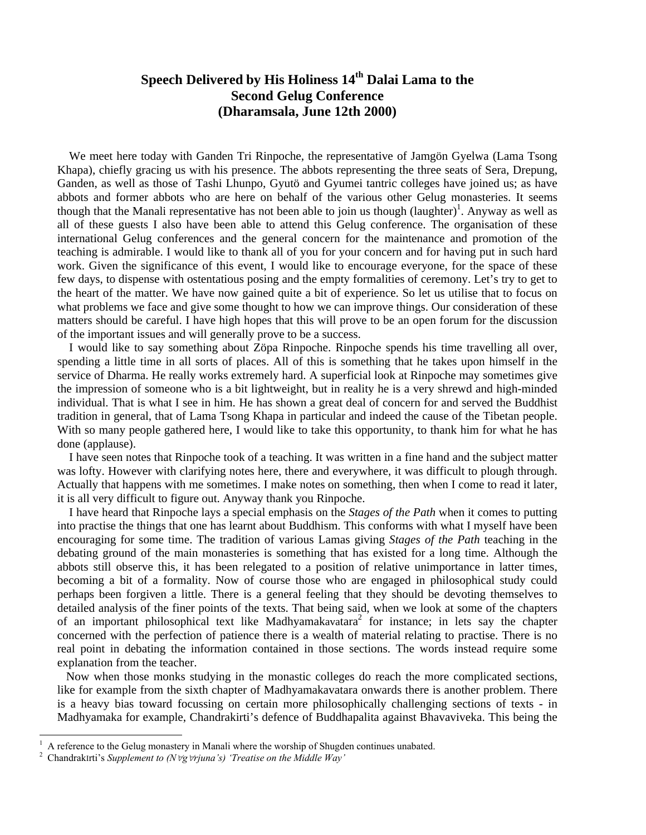## **Speech Delivered by His Holiness 14th Dalai Lama to the Second Gelug Conference (Dharamsala, June 12th 2000)**

 We meet here today with Ganden Tri Rinpoche, the representative of Jamgön Gyelwa (Lama Tsong Khapa), chiefly gracing us with his presence. The abbots representing the three seats of Sera, Drepung, Ganden, as well as those of Tashi Lhunpo, Gyutö and Gyumei tantric colleges have joined us; as have abbots and former abbots who are here on behalf of the various other Gelug monasteries. It seems though that the Manali representative has not been able to join us though  $\left(\frac{\text{language}}{\text{language}}\right)^1$ . Anyway as well as all of these guests I also have been able to attend this Gelug conference. The organisation of these international Gelug conferences and the general concern for the maintenance and promotion of the teaching is admirable. I would like to thank all of you for your concern and for having put in such hard work. Given the significance of this event, I would like to encourage everyone, for the space of these few days, to dispense with ostentatious posing and the empty formalities of ceremony. Let's try to get to the heart of the matter. We have now gained quite a bit of experience. So let us utilise that to focus on what problems we face and give some thought to how we can improve things. Our consideration of these matters should be careful. I have high hopes that this will prove to be an open forum for the discussion of the important issues and will generally prove to be a success.

 I would like to say something about Zöpa Rinpoche. Rinpoche spends his time travelling all over, spending a little time in all sorts of places. All of this is something that he takes upon himself in the service of Dharma. He really works extremely hard. A superficial look at Rinpoche may sometimes give the impression of someone who is a bit lightweight, but in reality he is a very shrewd and high-minded individual. That is what I see in him. He has shown a great deal of concern for and served the Buddhist tradition in general, that of Lama Tsong Khapa in particular and indeed the cause of the Tibetan people. With so many people gathered here, I would like to take this opportunity, to thank him for what he has done (applause).

 I have seen notes that Rinpoche took of a teaching. It was written in a fine hand and the subject matter was lofty. However with clarifying notes here, there and everywhere, it was difficult to plough through. Actually that happens with me sometimes. I make notes on something, then when I come to read it later, it is all very difficult to figure out. Anyway thank you Rinpoche.

 I have heard that Rinpoche lays a special emphasis on the *Stages of the Path* when it comes to putting into practise the things that one has learnt about Buddhism. This conforms with what I myself have been encouraging for some time. The tradition of various Lamas giving *Stages of the Path* teaching in the debating ground of the main monasteries is something that has existed for a long time. Although the abbots still observe this, it has been relegated to a position of relative unimportance in latter times, becoming a bit of a formality. Now of course those who are engaged in philosophical study could perhaps been forgiven a little. There is a general feeling that they should be devoting themselves to detailed analysis of the finer points of the texts. That being said, when we look at some of the chapters of an important philosophical text like Madhyamakavatara<sup>2</sup> for instance; in lets say the chapter concerned with the perfection of patience there is a wealth of material relating to practise. There is no real point in debating the information contained in those sections. The words instead require some explanation from the teacher.

 Now when those monks studying in the monastic colleges do reach the more complicated sections, like for example from the sixth chapter of Madhyamakavatara onwards there is another problem. There is a heavy bias toward focussing on certain more philosophically challenging sections of texts - in Madhyamaka for example, Chandrakirti's defence of Buddhapalita against Bhavaviveka. This being the

<sup>1</sup> A reference to the Gelug monastery in Manali where the worship of Shugden continues unabated.

<sup>2</sup> ChandrakΙrti's *Supplement to (N*∀*g*∀*rjuna's) 'Treatise on the Middle Way'*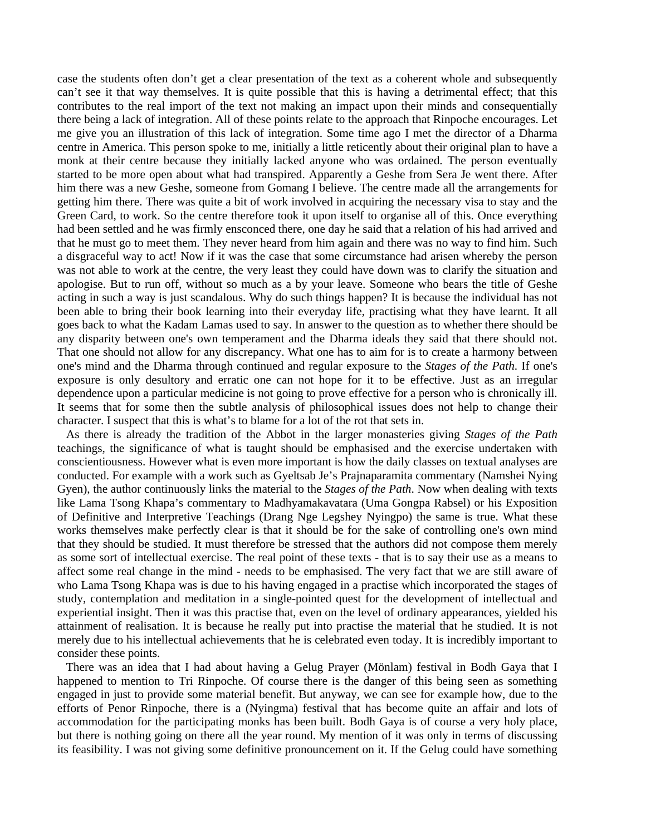case the students often don't get a clear presentation of the text as a coherent whole and subsequently can't see it that way themselves. It is quite possible that this is having a detrimental effect; that this contributes to the real import of the text not making an impact upon their minds and consequentially there being a lack of integration. All of these points relate to the approach that Rinpoche encourages. Let me give you an illustration of this lack of integration. Some time ago I met the director of a Dharma centre in America. This person spoke to me, initially a little reticently about their original plan to have a monk at their centre because they initially lacked anyone who was ordained. The person eventually started to be more open about what had transpired. Apparently a Geshe from Sera Je went there. After him there was a new Geshe, someone from Gomang I believe. The centre made all the arrangements for getting him there. There was quite a bit of work involved in acquiring the necessary visa to stay and the Green Card, to work. So the centre therefore took it upon itself to organise all of this. Once everything had been settled and he was firmly ensconced there, one day he said that a relation of his had arrived and that he must go to meet them. They never heard from him again and there was no way to find him. Such a disgraceful way to act! Now if it was the case that some circumstance had arisen whereby the person was not able to work at the centre, the very least they could have down was to clarify the situation and apologise. But to run off, without so much as a by your leave. Someone who bears the title of Geshe acting in such a way is just scandalous. Why do such things happen? It is because the individual has not been able to bring their book learning into their everyday life, practising what they have learnt. It all goes back to what the Kadam Lamas used to say. In answer to the question as to whether there should be any disparity between one's own temperament and the Dharma ideals they said that there should not. That one should not allow for any discrepancy. What one has to aim for is to create a harmony between one's mind and the Dharma through continued and regular exposure to the *Stages of the Path*. If one's exposure is only desultory and erratic one can not hope for it to be effective. Just as an irregular dependence upon a particular medicine is not going to prove effective for a person who is chronically ill. It seems that for some then the subtle analysis of philosophical issues does not help to change their character. I suspect that this is what's to blame for a lot of the rot that sets in.

 As there is already the tradition of the Abbot in the larger monasteries giving *Stages of the Path* teachings, the significance of what is taught should be emphasised and the exercise undertaken with conscientiousness. However what is even more important is how the daily classes on textual analyses are conducted. For example with a work such as Gyeltsab Je's Prajnaparamita commentary (Namshei Nying Gyen), the author continuously links the material to the *Stages of the Path*. Now when dealing with texts like Lama Tsong Khapa's commentary to Madhyamakavatara (Uma Gongpa Rabsel) or his Exposition of Definitive and Interpretive Teachings (Drang Nge Legshey Nyingpo) the same is true. What these works themselves make perfectly clear is that it should be for the sake of controlling one's own mind that they should be studied. It must therefore be stressed that the authors did not compose them merely as some sort of intellectual exercise. The real point of these texts - that is to say their use as a means to affect some real change in the mind - needs to be emphasised. The very fact that we are still aware of who Lama Tsong Khapa was is due to his having engaged in a practise which incorporated the stages of study, contemplation and meditation in a single-pointed quest for the development of intellectual and experiential insight. Then it was this practise that, even on the level of ordinary appearances, yielded his attainment of realisation. It is because he really put into practise the material that he studied. It is not merely due to his intellectual achievements that he is celebrated even today. It is incredibly important to consider these points.

 There was an idea that I had about having a Gelug Prayer (Mönlam) festival in Bodh Gaya that I happened to mention to Tri Rinpoche. Of course there is the danger of this being seen as something engaged in just to provide some material benefit. But anyway, we can see for example how, due to the efforts of Penor Rinpoche, there is a (Nyingma) festival that has become quite an affair and lots of accommodation for the participating monks has been built. Bodh Gaya is of course a very holy place, but there is nothing going on there all the year round. My mention of it was only in terms of discussing its feasibility. I was not giving some definitive pronouncement on it. If the Gelug could have something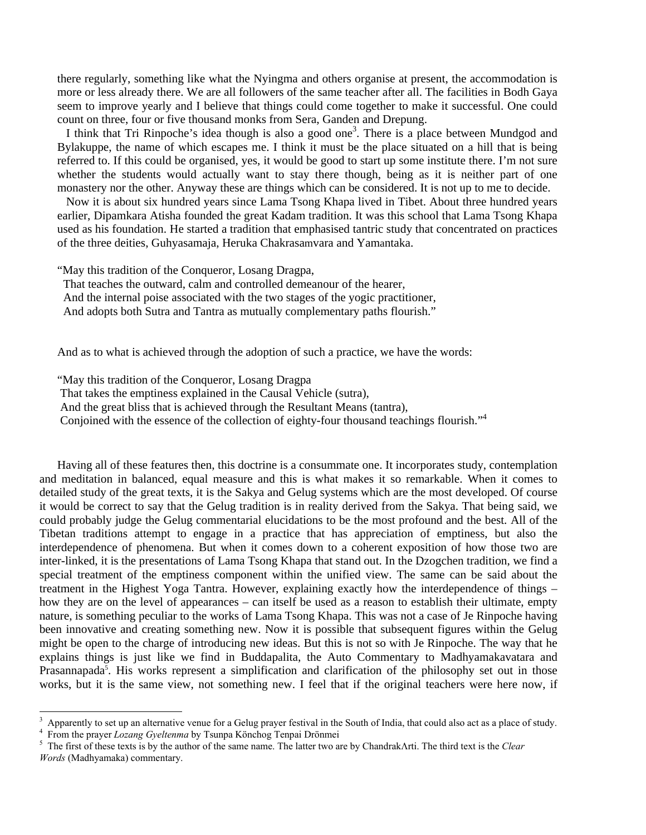there regularly, something like what the Nyingma and others organise at present, the accommodation is more or less already there. We are all followers of the same teacher after all. The facilities in Bodh Gaya seem to improve yearly and I believe that things could come together to make it successful. One could count on three, four or five thousand monks from Sera, Ganden and Drepung.

I think that Tri Rinpoche's idea though is also a good one<sup>3</sup>. There is a place between Mundgod and Bylakuppe, the name of which escapes me. I think it must be the place situated on a hill that is being referred to. If this could be organised, yes, it would be good to start up some institute there. I'm not sure whether the students would actually want to stay there though, being as it is neither part of one monastery nor the other. Anyway these are things which can be considered. It is not up to me to decide.

 Now it is about six hundred years since Lama Tsong Khapa lived in Tibet. About three hundred years earlier, Dipamkara Atisha founded the great Kadam tradition. It was this school that Lama Tsong Khapa used as his foundation. He started a tradition that emphasised tantric study that concentrated on practices of the three deities, Guhyasamaja, Heruka Chakrasamvara and Yamantaka.

"May this tradition of the Conqueror, Losang Dragpa,

That teaches the outward, calm and controlled demeanour of the hearer,

And the internal poise associated with the two stages of the yogic practitioner,

And adopts both Sutra and Tantra as mutually complementary paths flourish."

And as to what is achieved through the adoption of such a practice, we have the words:

"May this tradition of the Conqueror, Losang Dragpa

That takes the emptiness explained in the Causal Vehicle (sutra),

And the great bliss that is achieved through the Resultant Means (tantra),

Conjoined with the essence of the collection of eighty-four thousand teachings flourish."<sup>4</sup>

Having all of these features then, this doctrine is a consummate one. It incorporates study, contemplation and meditation in balanced, equal measure and this is what makes it so remarkable. When it comes to detailed study of the great texts, it is the Sakya and Gelug systems which are the most developed. Of course it would be correct to say that the Gelug tradition is in reality derived from the Sakya. That being said, we could probably judge the Gelug commentarial elucidations to be the most profound and the best. All of the Tibetan traditions attempt to engage in a practice that has appreciation of emptiness, but also the interdependence of phenomena. But when it comes down to a coherent exposition of how those two are inter-linked, it is the presentations of Lama Tsong Khapa that stand out. In the Dzogchen tradition, we find a special treatment of the emptiness component within the unified view. The same can be said about the treatment in the Highest Yoga Tantra. However, explaining exactly how the interdependence of things – how they are on the level of appearances – can itself be used as a reason to establish their ultimate, empty nature, is something peculiar to the works of Lama Tsong Khapa. This was not a case of Je Rinpoche having been innovative and creating something new. Now it is possible that subsequent figures within the Gelug might be open to the charge of introducing new ideas. But this is not so with Je Rinpoche. The way that he explains things is just like we find in Buddapalita, the Auto Commentary to Madhyamakavatara and Prasannapada<sup>5</sup>. His works represent a simplification and clarification of the philosophy set out in those works, but it is the same view, not something new. I feel that if the original teachers were here now, if

<sup>4</sup> From the prayer *Lozang Gyeltenma* by Tsunpa Könchog Tenpai Drönmei

<sup>3</sup> Apparently to set up an alternative venue for a Gelug prayer festival in the South of India, that could also act as a place of study. 4

The first of these texts is by the author of the same name. The latter two are by ChandrakΛrti. The third text is the *Clear Words* (Madhyamaka) commentary.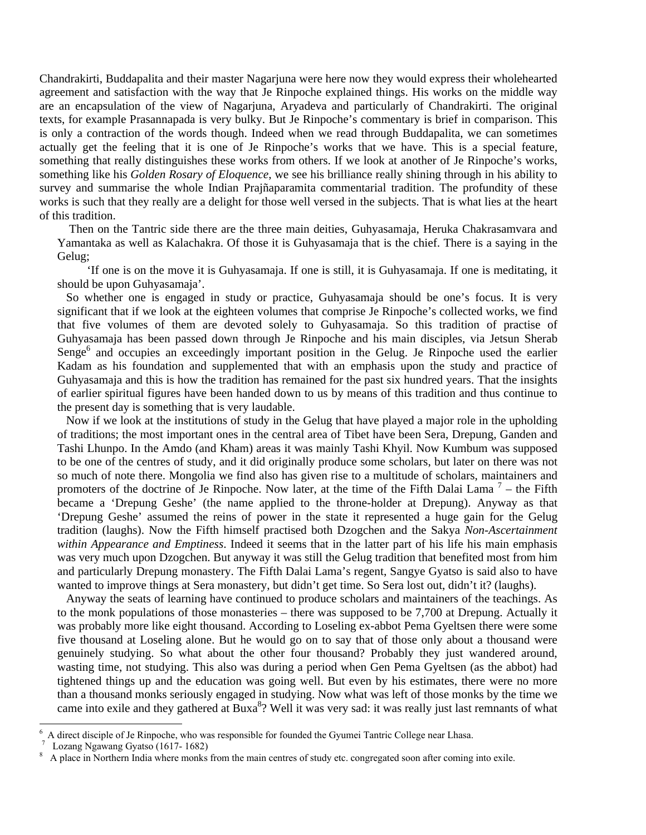Chandrakirti, Buddapalita and their master Nagarjuna were here now they would express their wholehearted agreement and satisfaction with the way that Je Rinpoche explained things. His works on the middle way are an encapsulation of the view of Nagarjuna, Aryadeva and particularly of Chandrakirti. The original texts, for example Prasannapada is very bulky. But Je Rinpoche's commentary is brief in comparison. This is only a contraction of the words though. Indeed when we read through Buddapalita, we can sometimes actually get the feeling that it is one of Je Rinpoche's works that we have. This is a special feature, something that really distinguishes these works from others. If we look at another of Je Rinpoche's works, something like his *Golden Rosary of Eloquence*, we see his brilliance really shining through in his ability to survey and summarise the whole Indian Prajñaparamita commentarial tradition. The profundity of these works is such that they really are a delight for those well versed in the subjects. That is what lies at the heart of this tradition.

 Then on the Tantric side there are the three main deities, Guhyasamaja, Heruka Chakrasamvara and Yamantaka as well as Kalachakra. Of those it is Guhyasamaja that is the chief. There is a saying in the Gelug;

 'If one is on the move it is Guhyasamaja. If one is still, it is Guhyasamaja. If one is meditating, it should be upon Guhyasamaja'.

 So whether one is engaged in study or practice, Guhyasamaja should be one's focus. It is very significant that if we look at the eighteen volumes that comprise Je Rinpoche's collected works, we find that five volumes of them are devoted solely to Guhyasamaja. So this tradition of practise of Guhyasamaja has been passed down through Je Rinpoche and his main disciples, via Jetsun Sherab Senge $<sup>6</sup>$  and occupies an exceedingly important position in the Gelug. Je Rinpoche used the earlier</sup> Kadam as his foundation and supplemented that with an emphasis upon the study and practice of Guhyasamaja and this is how the tradition has remained for the past six hundred years. That the insights of earlier spiritual figures have been handed down to us by means of this tradition and thus continue to the present day is something that is very laudable.

 Now if we look at the institutions of study in the Gelug that have played a major role in the upholding of traditions; the most important ones in the central area of Tibet have been Sera, Drepung, Ganden and Tashi Lhunpo. In the Amdo (and Kham) areas it was mainly Tashi Khyil. Now Kumbum was supposed to be one of the centres of study, and it did originally produce some scholars, but later on there was not so much of note there. Mongolia we find also has given rise to a multitude of scholars, maintainers and promoters of the doctrine of Je Rinpoche. Now later, at the time of the Fifth Dalai Lama<sup>7</sup> – the Fifth became a 'Drepung Geshe' (the name applied to the throne-holder at Drepung). Anyway as that 'Drepung Geshe' assumed the reins of power in the state it represented a huge gain for the Gelug tradition (laughs). Now the Fifth himself practised both Dzogchen and the Sakya *Non-Ascertainment within Appearance and Emptiness*. Indeed it seems that in the latter part of his life his main emphasis was very much upon Dzogchen. But anyway it was still the Gelug tradition that benefited most from him and particularly Drepung monastery. The Fifth Dalai Lama's regent, Sangye Gyatso is said also to have wanted to improve things at Sera monastery, but didn't get time. So Sera lost out, didn't it? (laughs).

 Anyway the seats of learning have continued to produce scholars and maintainers of the teachings. As to the monk populations of those monasteries – there was supposed to be 7,700 at Drepung. Actually it was probably more like eight thousand. According to Loseling ex-abbot Pema Gyeltsen there were some five thousand at Loseling alone. But he would go on to say that of those only about a thousand were genuinely studying. So what about the other four thousand? Probably they just wandered around, wasting time, not studying. This also was during a period when Gen Pema Gyeltsen (as the abbot) had tightened things up and the education was going well. But even by his estimates, there were no more than a thousand monks seriously engaged in studying. Now what was left of those monks by the time we came into exile and they gathered at Buxa<sup>8</sup>? Well it was very sad: it was really just last remnants of what

<sup>6</sup> A direct disciple of Je Rinpoche, who was responsible for founded the Gyumei Tantric College near Lhasa.

<sup>7</sup> Lozang Ngawang Gyatso (1617- 1682)

<sup>8</sup> A place in Northern India where monks from the main centres of study etc. congregated soon after coming into exile.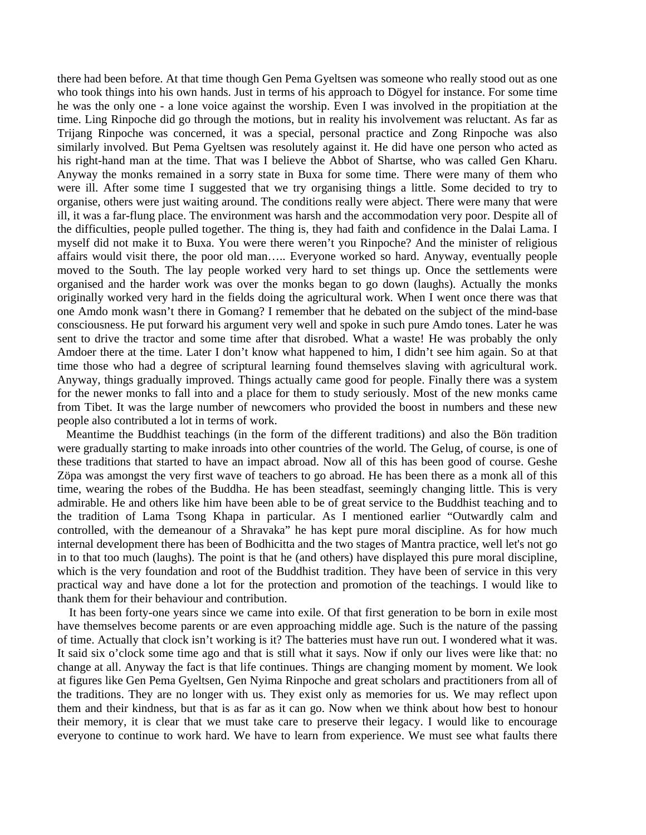there had been before. At that time though Gen Pema Gyeltsen was someone who really stood out as one who took things into his own hands. Just in terms of his approach to Dögyel for instance. For some time he was the only one - a lone voice against the worship. Even I was involved in the propitiation at the time. Ling Rinpoche did go through the motions, but in reality his involvement was reluctant. As far as Trijang Rinpoche was concerned, it was a special, personal practice and Zong Rinpoche was also similarly involved. But Pema Gyeltsen was resolutely against it. He did have one person who acted as his right-hand man at the time. That was I believe the Abbot of Shartse, who was called Gen Kharu. Anyway the monks remained in a sorry state in Buxa for some time. There were many of them who were ill. After some time I suggested that we try organising things a little. Some decided to try to organise, others were just waiting around. The conditions really were abject. There were many that were ill, it was a far-flung place. The environment was harsh and the accommodation very poor. Despite all of the difficulties, people pulled together. The thing is, they had faith and confidence in the Dalai Lama. I myself did not make it to Buxa. You were there weren't you Rinpoche? And the minister of religious affairs would visit there, the poor old man….. Everyone worked so hard. Anyway, eventually people moved to the South. The lay people worked very hard to set things up. Once the settlements were organised and the harder work was over the monks began to go down (laughs). Actually the monks originally worked very hard in the fields doing the agricultural work. When I went once there was that one Amdo monk wasn't there in Gomang? I remember that he debated on the subject of the mind-base consciousness. He put forward his argument very well and spoke in such pure Amdo tones. Later he was sent to drive the tractor and some time after that disrobed. What a waste! He was probably the only Amdoer there at the time. Later I don't know what happened to him, I didn't see him again. So at that time those who had a degree of scriptural learning found themselves slaving with agricultural work. Anyway, things gradually improved. Things actually came good for people. Finally there was a system for the newer monks to fall into and a place for them to study seriously. Most of the new monks came from Tibet. It was the large number of newcomers who provided the boost in numbers and these new people also contributed a lot in terms of work.

 Meantime the Buddhist teachings (in the form of the different traditions) and also the Bön tradition were gradually starting to make inroads into other countries of the world. The Gelug, of course, is one of these traditions that started to have an impact abroad. Now all of this has been good of course. Geshe Zöpa was amongst the very first wave of teachers to go abroad. He has been there as a monk all of this time, wearing the robes of the Buddha. He has been steadfast, seemingly changing little. This is very admirable. He and others like him have been able to be of great service to the Buddhist teaching and to the tradition of Lama Tsong Khapa in particular. As I mentioned earlier "Outwardly calm and controlled, with the demeanour of a Shravaka" he has kept pure moral discipline. As for how much internal development there has been of Bodhicitta and the two stages of Mantra practice, well let's not go in to that too much (laughs). The point is that he (and others) have displayed this pure moral discipline, which is the very foundation and root of the Buddhist tradition. They have been of service in this very practical way and have done a lot for the protection and promotion of the teachings. I would like to thank them for their behaviour and contribution.

 It has been forty-one years since we came into exile. Of that first generation to be born in exile most have themselves become parents or are even approaching middle age. Such is the nature of the passing of time. Actually that clock isn't working is it? The batteries must have run out. I wondered what it was. It said six o'clock some time ago and that is still what it says. Now if only our lives were like that: no change at all. Anyway the fact is that life continues. Things are changing moment by moment. We look at figures like Gen Pema Gyeltsen, Gen Nyima Rinpoche and great scholars and practitioners from all of the traditions. They are no longer with us. They exist only as memories for us. We may reflect upon them and their kindness, but that is as far as it can go. Now when we think about how best to honour their memory, it is clear that we must take care to preserve their legacy. I would like to encourage everyone to continue to work hard. We have to learn from experience. We must see what faults there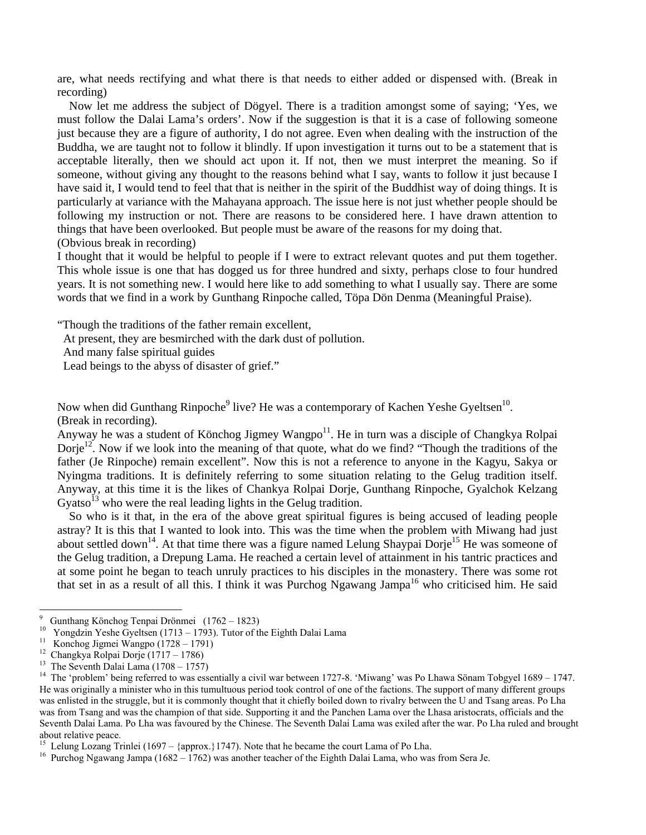are, what needs rectifying and what there is that needs to either added or dispensed with. (Break in recording)

 Now let me address the subject of Dögyel. There is a tradition amongst some of saying; 'Yes, we must follow the Dalai Lama's orders'. Now if the suggestion is that it is a case of following someone just because they are a figure of authority, I do not agree. Even when dealing with the instruction of the Buddha, we are taught not to follow it blindly. If upon investigation it turns out to be a statement that is acceptable literally, then we should act upon it. If not, then we must interpret the meaning. So if someone, without giving any thought to the reasons behind what I say, wants to follow it just because I have said it, I would tend to feel that that is neither in the spirit of the Buddhist way of doing things. It is particularly at variance with the Mahayana approach. The issue here is not just whether people should be following my instruction or not. There are reasons to be considered here. I have drawn attention to things that have been overlooked. But people must be aware of the reasons for my doing that. (Obvious break in recording)

I thought that it would be helpful to people if I were to extract relevant quotes and put them together. This whole issue is one that has dogged us for three hundred and sixty, perhaps close to four hundred years. It is not something new. I would here like to add something to what I usually say. There are some words that we find in a work by Gunthang Rinpoche called, Töpa Dön Denma (Meaningful Praise).

"Though the traditions of the father remain excellent,

At present, they are besmirched with the dark dust of pollution.

And many false spiritual guides

Lead beings to the abyss of disaster of grief."

Now when did Gunthang Rinpoche<sup>9</sup> live? He was a contemporary of Kachen Yeshe Gyeltsen<sup>10</sup>. (Break in recording).

Anyway he was a student of Könchog Jigmey Wangpo<sup>11</sup>. He in turn was a disciple of Changkya Rolpai Dorje<sup>12</sup>. Now if we look into the meaning of that quote, what do we find? "Though the traditions of the father (Je Rinpoche) remain excellent". Now this is not a reference to anyone in the Kagyu, Sakya or Nyingma traditions. It is definitely referring to some situation relating to the Gelug tradition itself. Anyway, at this time it is the likes of Chankya Rolpai Dorje, Gunthang Rinpoche, Gyalchok Kelzang Gyatso<sup>13</sup> who were the real leading lights in the Gelug tradition.

 So who is it that, in the era of the above great spiritual figures is being accused of leading people astray? It is this that I wanted to look into. This was the time when the problem with Miwang had just about settled down<sup>14</sup>. At that time there was a figure named Lelung Shaypai Dorje<sup>15</sup> He was someone of the Gelug tradition, a Drepung Lama. He reached a certain level of attainment in his tantric practices and at some point he began to teach unruly practices to his disciples in the monastery. There was some rot that set in as a result of all this. I think it was Purchog Ngawang Jampa<sup>16</sup> who criticised him. He said

<sup>9</sup> <sup>9</sup> Gunthang Könchog Tenpai Drönmei (1762 – 1823)

Yongdzin Yeshe Gyeltsen (1713 – 1793). Tutor of the Eighth Dalai Lama

<sup>11</sup> Konchog Jigmei Wangpo (1728 – 1791)

<sup>12</sup> Changkya Rolpai Dorje (1717 – 1786)

<sup>&</sup>lt;sup>13</sup> The Seventh Dalai Lama  $(1708 - 1757)$ 

<sup>&</sup>lt;sup>14</sup> The 'problem' being referred to was essentially a civil war between 1727-8. 'Miwang' was Po Lhawa Sönam Tobgyel 1689 – 1747. He was originally a minister who in this tumultuous period took control of one of the factions. The support of many different groups was enlisted in the struggle, but it is commonly thought that it chiefly boiled down to rivalry between the U and Tsang areas. Po Lha was from Tsang and was the champion of that side. Supporting it and the Panchen Lama over the Lhasa aristocrats, officials and the Seventh Dalai Lama. Po Lha was favoured by the Chinese. The Seventh Dalai Lama was exiled after the war. Po Lha ruled and brought about relative peace.

Lelung Lozang Trinlei (1697 – {approx.}1747). Note that he became the court Lama of Po Lha.

<sup>&</sup>lt;sup>16</sup> Purchog Ngawang Jampa (1682 – 1762) was another teacher of the Eighth Dalai Lama, who was from Sera Je.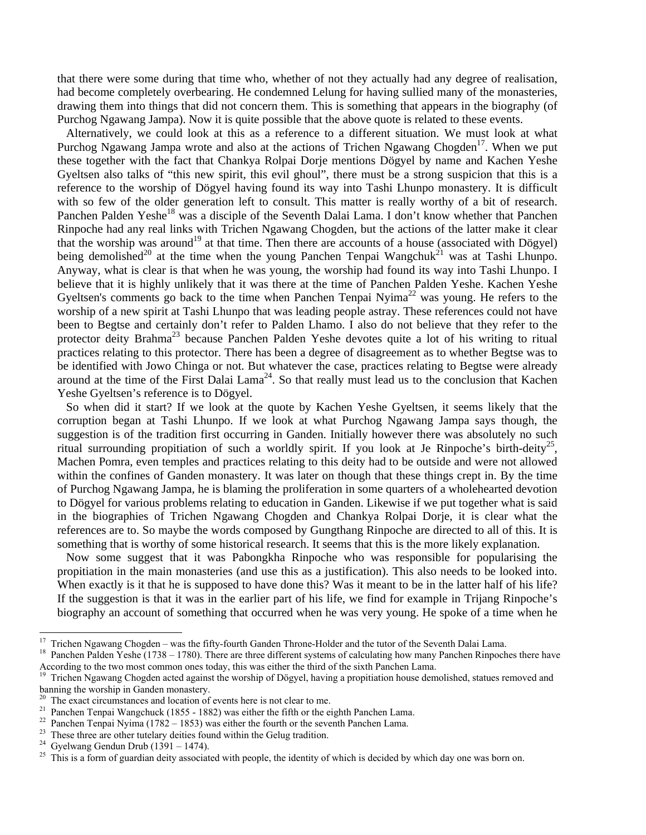that there were some during that time who, whether of not they actually had any degree of realisation, had become completely overbearing. He condemned Lelung for having sullied many of the monasteries, drawing them into things that did not concern them. This is something that appears in the biography (of Purchog Ngawang Jampa). Now it is quite possible that the above quote is related to these events.

 Alternatively, we could look at this as a reference to a different situation. We must look at what Purchog Ngawang Jampa wrote and also at the actions of Trichen Ngawang Chogden<sup>17</sup>. When we put these together with the fact that Chankya Rolpai Dorje mentions Dögyel by name and Kachen Yeshe Gyeltsen also talks of "this new spirit, this evil ghoul", there must be a strong suspicion that this is a reference to the worship of Dögyel having found its way into Tashi Lhunpo monastery. It is difficult with so few of the older generation left to consult. This matter is really worthy of a bit of research. Panchen Palden Yeshe<sup>18</sup> was a disciple of the Seventh Dalai Lama. I don't know whether that Panchen Rinpoche had any real links with Trichen Ngawang Chogden, but the actions of the latter make it clear that the worship was around<sup>19</sup> at that time. Then there are accounts of a house (associated with Dögyel) being demolished<sup>20</sup> at the time when the young Panchen Tenpai Wangchuk<sup>21</sup> was at Tashi Lhunpo. Anyway, what is clear is that when he was young, the worship had found its way into Tashi Lhunpo. I believe that it is highly unlikely that it was there at the time of Panchen Palden Yeshe. Kachen Yeshe Gyeltsen's comments go back to the time when Panchen Tenpai Nyima<sup>22</sup> was young. He refers to the worship of a new spirit at Tashi Lhunpo that was leading people astray. These references could not have been to Begtse and certainly don't refer to Palden Lhamo. I also do not believe that they refer to the protector deity Brahma<sup>23</sup> because Panchen Palden Yeshe devotes quite a lot of his writing to ritual practices relating to this protector. There has been a degree of disagreement as to whether Begtse was to be identified with Jowo Chinga or not. But whatever the case, practices relating to Begtse were already around at the time of the First Dalai Lama<sup>24</sup>. So that really must lead us to the conclusion that Kachen Yeshe Gyeltsen's reference is to Dögyel.

 So when did it start? If we look at the quote by Kachen Yeshe Gyeltsen, it seems likely that the corruption began at Tashi Lhunpo. If we look at what Purchog Ngawang Jampa says though, the suggestion is of the tradition first occurring in Ganden. Initially however there was absolutely no such ritual surrounding propitiation of such a worldly spirit. If you look at Je Rinpoche's birth-deity<sup>25</sup>, Machen Pomra, even temples and practices relating to this deity had to be outside and were not allowed within the confines of Ganden monastery. It was later on though that these things crept in. By the time of Purchog Ngawang Jampa, he is blaming the proliferation in some quarters of a wholehearted devotion to Dögyel for various problems relating to education in Ganden. Likewise if we put together what is said in the biographies of Trichen Ngawang Chogden and Chankya Rolpai Dorje, it is clear what the references are to. So maybe the words composed by Gungthang Rinpoche are directed to all of this. It is something that is worthy of some historical research. It seems that this is the more likely explanation.

 Now some suggest that it was Pabongkha Rinpoche who was responsible for popularising the propitiation in the main monasteries (and use this as a justification). This also needs to be looked into. When exactly is it that he is supposed to have done this? Was it meant to be in the latter half of his life? If the suggestion is that it was in the earlier part of his life, we find for example in Trijang Rinpoche's biography an account of something that occurred when he was very young. He spoke of a time when he

<sup>&</sup>lt;sup>17</sup> Trichen Ngawang Chogden – was the fifty-fourth Ganden Throne-Holder and the tutor of the Seventh Dalai Lama.<br><sup>18</sup> Panchen Palden Vesbe (1738 – 1780). There are three different systems of calculating bow many Panchen

Panchen Palden Yeshe (1738 – 1780). There are three different systems of calculating how many Panchen Rinpoches there have According to the two most common ones today, this was either the third of the sixth Panchen Lama.

<sup>&</sup>lt;sup>19</sup> Trichen Ngawang Chogden acted against the worship of Dögyel, having a propitiation house demolished, statues removed and banning the worship in Ganden monastery.

<sup>&</sup>lt;sup>20</sup> The exact circumstances and location of events here is not clear to me.

<sup>&</sup>lt;sup>21</sup> Panchen Tenpai Wangchuck (1855 - 1882) was either the fifth or the eighth Panchen Lama.

<sup>&</sup>lt;sup>22</sup> Panchen Tenpai Nyima (1782 – 1853) was either the fourth or the seventh Panchen Lama.

<sup>&</sup>lt;sup>23</sup> These three are other tutelary deities found within the Gelug tradition.

<sup>&</sup>lt;sup>24</sup> Gyelwang Gendun Drub (1391 – 1474).

<sup>&</sup>lt;sup>25</sup> This is a form of guardian deity associated with people, the identity of which is decided by which day one was born on.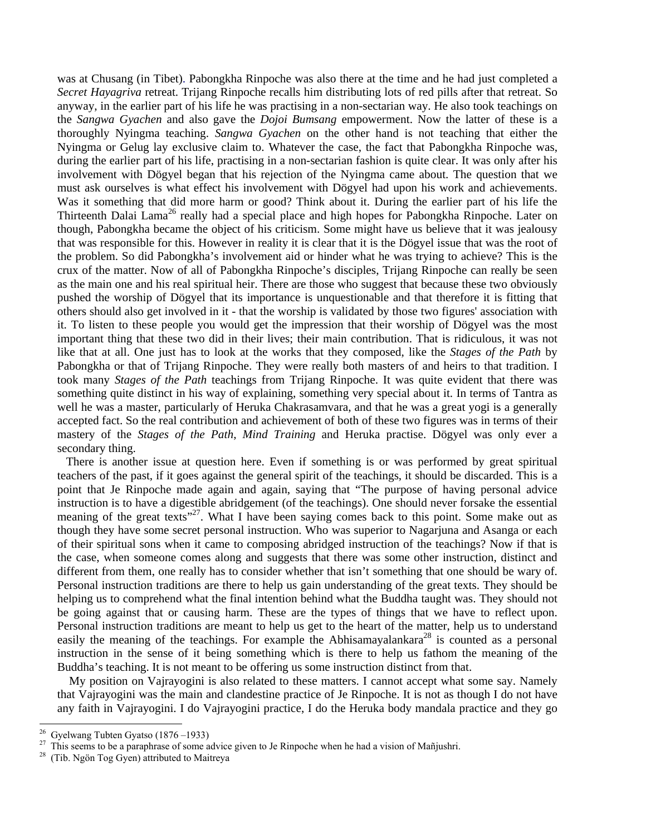was at Chusang (in Tibet). Pabongkha Rinpoche was also there at the time and he had just completed a *Secret Hayagriva* retreat. Trijang Rinpoche recalls him distributing lots of red pills after that retreat. So anyway, in the earlier part of his life he was practising in a non-sectarian way. He also took teachings on the *Sangwa Gyachen* and also gave the *Dojoi Bumsang* empowerment. Now the latter of these is a thoroughly Nyingma teaching. *Sangwa Gyachen* on the other hand is not teaching that either the Nyingma or Gelug lay exclusive claim to. Whatever the case, the fact that Pabongkha Rinpoche was, during the earlier part of his life, practising in a non-sectarian fashion is quite clear. It was only after his involvement with Dögyel began that his rejection of the Nyingma came about. The question that we must ask ourselves is what effect his involvement with Dögyel had upon his work and achievements. Was it something that did more harm or good? Think about it. During the earlier part of his life the Thirteenth Dalai Lama<sup>26</sup> really had a special place and high hopes for Pabongkha Rinpoche. Later on though, Pabongkha became the object of his criticism. Some might have us believe that it was jealousy that was responsible for this. However in reality it is clear that it is the Dögyel issue that was the root of the problem. So did Pabongkha's involvement aid or hinder what he was trying to achieve? This is the crux of the matter. Now of all of Pabongkha Rinpoche's disciples, Trijang Rinpoche can really be seen as the main one and his real spiritual heir. There are those who suggest that because these two obviously pushed the worship of Dögyel that its importance is unquestionable and that therefore it is fitting that others should also get involved in it - that the worship is validated by those two figures' association with it. To listen to these people you would get the impression that their worship of Dögyel was the most important thing that these two did in their lives; their main contribution. That is ridiculous, it was not like that at all. One just has to look at the works that they composed, like the *Stages of the Path* by Pabongkha or that of Trijang Rinpoche. They were really both masters of and heirs to that tradition. I took many *Stages of the Path* teachings from Trijang Rinpoche. It was quite evident that there was something quite distinct in his way of explaining, something very special about it. In terms of Tantra as well he was a master, particularly of Heruka Chakrasamvara, and that he was a great yogi is a generally accepted fact. So the real contribution and achievement of both of these two figures was in terms of their mastery of the *Stages of the Path*, *Mind Training* and Heruka practise. Dögyel was only ever a secondary thing.

 There is another issue at question here. Even if something is or was performed by great spiritual teachers of the past, if it goes against the general spirit of the teachings, it should be discarded. This is a point that Je Rinpoche made again and again, saying that "The purpose of having personal advice instruction is to have a digestible abridgement (of the teachings). One should never forsake the essential meaning of the great texts<sup>"27</sup>. What I have been saying comes back to this point. Some make out as though they have some secret personal instruction. Who was superior to Nagarjuna and Asanga or each of their spiritual sons when it came to composing abridged instruction of the teachings? Now if that is the case, when someone comes along and suggests that there was some other instruction, distinct and different from them, one really has to consider whether that isn't something that one should be wary of. Personal instruction traditions are there to help us gain understanding of the great texts. They should be helping us to comprehend what the final intention behind what the Buddha taught was. They should not be going against that or causing harm. These are the types of things that we have to reflect upon. Personal instruction traditions are meant to help us get to the heart of the matter, help us to understand easily the meaning of the teachings. For example the Abhisamayalankara<sup>28</sup> is counted as a personal instruction in the sense of it being something which is there to help us fathom the meaning of the Buddha's teaching. It is not meant to be offering us some instruction distinct from that.

 My position on Vajrayogini is also related to these matters. I cannot accept what some say. Namely that Vajrayogini was the main and clandestine practice of Je Rinpoche. It is not as though I do not have any faith in Vajrayogini. I do Vajrayogini practice, I do the Heruka body mandala practice and they go

 $^{26}$  Gyelwang Tubten Gyatso (1876–1933)<br><sup>27</sup> This seems to be a naranhreso of some a

<sup>&</sup>lt;sup>27</sup> This seems to be a paraphrase of some advice given to Je Rinpoche when he had a vision of Mañjushri.<br><sup>28</sup> (Tib Ngôn Tog Gyen) attributed to Maitreya

<sup>(</sup>Tib. Ngön Tog Gyen) attributed to Maitreya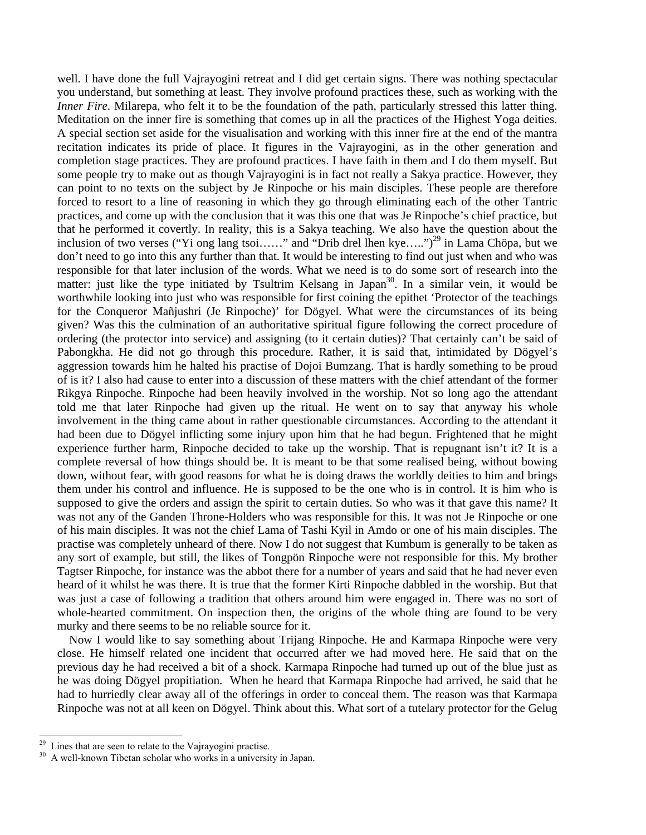well. I have done the full Vajrayogini retreat and I did get certain signs. There was nothing spectacular you understand, but something at least. They involve profound practices these, such as working with the *Inner Fire*. Milarepa, who felt it to be the foundation of the path, particularly stressed this latter thing. Meditation on the inner fire is something that comes up in all the practices of the Highest Yoga deities. A special section set aside for the visualisation and working with this inner fire at the end of the mantra recitation indicates its pride of place. It figures in the Vajrayogini, as in the other generation and completion stage practices. They are profound practices. I have faith in them and I do them myself. But some people try to make out as though Vajrayogini is in fact not really a Sakya practice. However, they can point to no texts on the subject by Je Rinpoche or his main disciples. These people are therefore forced to resort to a line of reasoning in which they go through eliminating each of the other Tantric practices, and come up with the conclusion that it was this one that was Je Rinpoche's chief practice, but that he performed it covertly. In reality, this is a Sakya teaching. We also have the question about the inclusion of two verses ("Yi ong lang tsoi......" and "Drib drel lhen kye.....")<sup>29</sup> in Lama Chöpa, but we don't need to go into this any further than that. It would be interesting to find out just when and who was responsible for that later inclusion of the words. What we need is to do some sort of research into the matter: just like the type initiated by Tsultrim Kelsang in Japan<sup>30</sup>. In a similar vein, it would be worthwhile looking into just who was responsible for first coining the epithet 'Protector of the teachings for the Conqueror Mañjushri (Je Rinpoche)' for Dögyel. What were the circumstances of its being given? Was this the culmination of an authoritative spiritual figure following the correct procedure of ordering (the protector into service) and assigning (to it certain duties)? That certainly can't be said of Pabongkha. He did not go through this procedure. Rather, it is said that, intimidated by Dögyel's aggression towards him he halted his practise of Dojoi Bumzang. That is hardly something to be proud of is it? I also had cause to enter into a discussion of these matters with the chief attendant of the former Rikgya Rinpoche. Rinpoche had been heavily involved in the worship. Not so long ago the attendant told me that later Rinpoche had given up the ritual. He went on to say that anyway his whole involvement in the thing came about in rather questionable circumstances. According to the attendant it had been due to Dögyel inflicting some injury upon him that he had begun. Frightened that he might experience further harm, Rinpoche decided to take up the worship. That is repugnant isn't it? It is a complete reversal of how things should be. It is meant to be that some realised being, without bowing down, without fear, with good reasons for what he is doing draws the worldly deities to him and brings them under his control and influence. He is supposed to be the one who is in control. It is him who is supposed to give the orders and assign the spirit to certain duties. So who was it that gave this name? It was not any of the Ganden Throne-Holders who was responsible for this. It was not Je Rinpoche or one of his main disciples. It was not the chief Lama of Tashi Kyil in Amdo or one of his main disciples. The practise was completely unheard of there. Now I do not suggest that Kumbum is generally to be taken as any sort of example, but still, the likes of Tongpön Rinpoche were not responsible for this. My brother Tagtser Rinpoche, for instance was the abbot there for a number of years and said that he had never even heard of it whilst he was there. It is true that the former Kirti Rinpoche dabbled in the worship. But that was just a case of following a tradition that others around him were engaged in. There was no sort of whole-hearted commitment. On inspection then, the origins of the whole thing are found to be very murky and there seems to be no reliable source for it.

 Now I would like to say something about Trijang Rinpoche. He and Karmapa Rinpoche were very close. He himself related one incident that occurred after we had moved here. He said that on the previous day he had received a bit of a shock. Karmapa Rinpoche had turned up out of the blue just as he was doing Dögyel propitiation. When he heard that Karmapa Rinpoche had arrived, he said that he had to hurriedly clear away all of the offerings in order to conceal them. The reason was that Karmapa Rinpoche was not at all keen on Dögyel. Think about this. What sort of a tutelary protector for the Gelug

<sup>&</sup>lt;sup>29</sup> Lines that are seen to relate to the Vajrayogini practise.<br><sup>30</sup> A well-known Tibetan scholar who works in a university

A well-known Tibetan scholar who works in a university in Japan.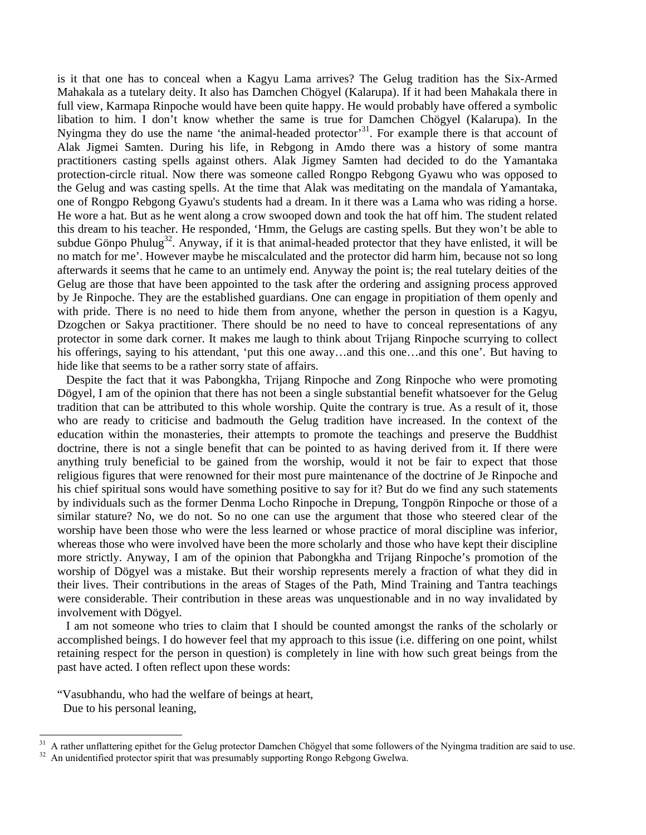is it that one has to conceal when a Kagyu Lama arrives? The Gelug tradition has the Six-Armed Mahakala as a tutelary deity. It also has Damchen Chögyel (Kalarupa). If it had been Mahakala there in full view, Karmapa Rinpoche would have been quite happy. He would probably have offered a symbolic libation to him. I don't know whether the same is true for Damchen Chögyel (Kalarupa). In the Nyingma they do use the name 'the animal-headed protector'<sup>31</sup>. For example there is that account of Alak Jigmei Samten. During his life, in Rebgong in Amdo there was a history of some mantra practitioners casting spells against others. Alak Jigmey Samten had decided to do the Yamantaka protection-circle ritual. Now there was someone called Rongpo Rebgong Gyawu who was opposed to the Gelug and was casting spells. At the time that Alak was meditating on the mandala of Yamantaka, one of Rongpo Rebgong Gyawu's students had a dream. In it there was a Lama who was riding a horse. He wore a hat. But as he went along a crow swooped down and took the hat off him. The student related this dream to his teacher. He responded, 'Hmm, the Gelugs are casting spells. But they won't be able to subdue Gönpo Phulug<sup>32</sup>. Anyway, if it is that animal-headed protector that they have enlisted, it will be no match for me'. However maybe he miscalculated and the protector did harm him, because not so long afterwards it seems that he came to an untimely end. Anyway the point is; the real tutelary deities of the Gelug are those that have been appointed to the task after the ordering and assigning process approved by Je Rinpoche. They are the established guardians. One can engage in propitiation of them openly and with pride. There is no need to hide them from anyone, whether the person in question is a Kagyu, Dzogchen or Sakya practitioner. There should be no need to have to conceal representations of any protector in some dark corner. It makes me laugh to think about Trijang Rinpoche scurrying to collect his offerings, saying to his attendant, 'put this one away...and this one...and this one'. But having to hide like that seems to be a rather sorry state of affairs.

 Despite the fact that it was Pabongkha, Trijang Rinpoche and Zong Rinpoche who were promoting Dögyel, I am of the opinion that there has not been a single substantial benefit whatsoever for the Gelug tradition that can be attributed to this whole worship. Quite the contrary is true. As a result of it, those who are ready to criticise and badmouth the Gelug tradition have increased. In the context of the education within the monasteries, their attempts to promote the teachings and preserve the Buddhist doctrine, there is not a single benefit that can be pointed to as having derived from it. If there were anything truly beneficial to be gained from the worship, would it not be fair to expect that those religious figures that were renowned for their most pure maintenance of the doctrine of Je Rinpoche and his chief spiritual sons would have something positive to say for it? But do we find any such statements by individuals such as the former Denma Locho Rinpoche in Drepung, Tongpön Rinpoche or those of a similar stature? No, we do not. So no one can use the argument that those who steered clear of the worship have been those who were the less learned or whose practice of moral discipline was inferior, whereas those who were involved have been the more scholarly and those who have kept their discipline more strictly. Anyway, I am of the opinion that Pabongkha and Trijang Rinpoche's promotion of the worship of Dögyel was a mistake. But their worship represents merely a fraction of what they did in their lives. Their contributions in the areas of Stages of the Path, Mind Training and Tantra teachings were considerable. Their contribution in these areas was unquestionable and in no way invalidated by involvement with Dögyel.

 I am not someone who tries to claim that I should be counted amongst the ranks of the scholarly or accomplished beings. I do however feel that my approach to this issue (i.e. differing on one point, whilst retaining respect for the person in question) is completely in line with how such great beings from the past have acted. I often reflect upon these words:

"Vasubhandu, who had the welfare of beings at heart, Due to his personal leaning,

 $31$  A rather unflattering epithet for the Gelug protector Damchen Chögyel that some followers of the Nyingma tradition are said to use.<br>32 An unidentified protector spirit that was presumably supporting Rongo Rebgong Gwe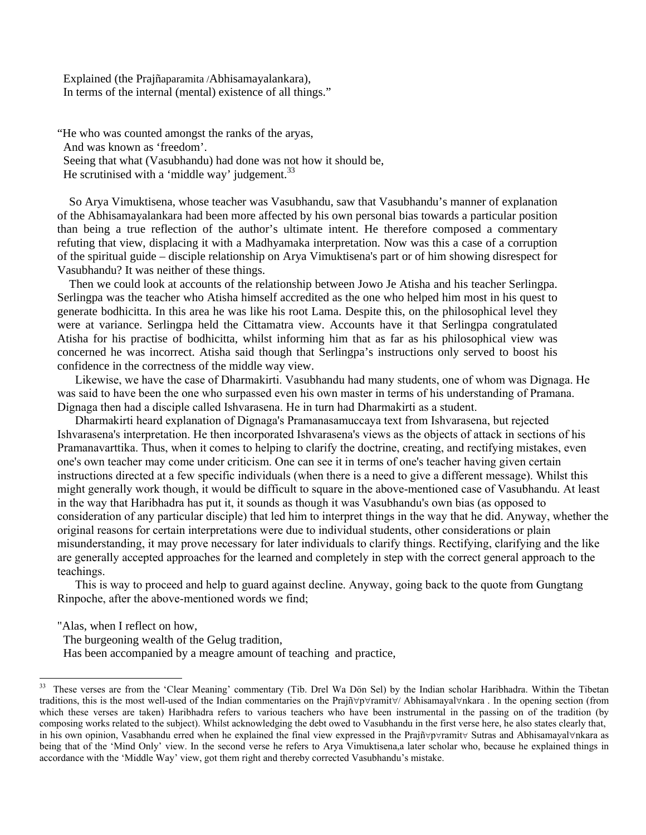Explained (the Prajñaparamita /Abhisamayalankara), In terms of the internal (mental) existence of all things."

"He who was counted amongst the ranks of the aryas, And was known as 'freedom'. Seeing that what (Vasubhandu) had done was not how it should be, He scrutinised with a 'middle way' judgement. $33$ 

 So Arya Vimuktisena, whose teacher was Vasubhandu, saw that Vasubhandu's manner of explanation of the Abhisamayalankara had been more affected by his own personal bias towards a particular position than being a true reflection of the author's ultimate intent. He therefore composed a commentary refuting that view, displacing it with a Madhyamaka interpretation. Now was this a case of a corruption of the spiritual guide – disciple relationship on Arya Vimuktisena's part or of him showing disrespect for Vasubhandu? It was neither of these things.

 Then we could look at accounts of the relationship between Jowo Je Atisha and his teacher Serlingpa. Serlingpa was the teacher who Atisha himself accredited as the one who helped him most in his quest to generate bodhicitta. In this area he was like his root Lama. Despite this, on the philosophical level they were at variance. Serlingpa held the Cittamatra view. Accounts have it that Serlingpa congratulated Atisha for his practise of bodhicitta, whilst informing him that as far as his philosophical view was concerned he was incorrect. Atisha said though that Serlingpa's instructions only served to boost his confidence in the correctness of the middle way view.

Likewise, we have the case of Dharmakirti. Vasubhandu had many students, one of whom was Dignaga. He was said to have been the one who surpassed even his own master in terms of his understanding of Pramana. Dignaga then had a disciple called Ishvarasena. He in turn had Dharmakirti as a student.

Dharmakirti heard explanation of Dignaga's Pramanasamuccaya text from Ishvarasena, but rejected Ishvarasena's interpretation. He then incorporated Ishvarasena's views as the objects of attack in sections of his Pramanavarttika. Thus, when it comes to helping to clarify the doctrine, creating, and rectifying mistakes, even one's own teacher may come under criticism. One can see it in terms of one's teacher having given certain instructions directed at a few specific individuals (when there is a need to give a different message). Whilst this might generally work though, it would be difficult to square in the above-mentioned case of Vasubhandu. At least in the way that Haribhadra has put it, it sounds as though it was Vasubhandu's own bias (as opposed to consideration of any particular disciple) that led him to interpret things in the way that he did. Anyway, whether the original reasons for certain interpretations were due to individual students, other considerations or plain misunderstanding, it may prove necessary for later individuals to clarify things. Rectifying, clarifying and the like are generally accepted approaches for the learned and completely in step with the correct general approach to the teachings.

This is way to proceed and help to guard against decline. Anyway, going back to the quote from Gungtang Rinpoche, after the above-mentioned words we find;

"Alas, when I reflect on how,

The burgeoning wealth of the Gelug tradition,

Has been accompanied by a meagre amount of teaching and practice,

<sup>33</sup> 33 These verses are from the 'Clear Meaning' commentary (Tib. Drel Wa Dön Sel) by the Indian scholar Haribhadra. Within the Tibetan traditions, this is the most well-used of the Indian commentaries on the Prajñ∀p∀ramit∀/ Abhisamayal∀nkara . In the opening section (from which these verses are taken) Haribhadra refers to various teachers who have been instrumental in the passing on of the tradition (by composing works related to the subject). Whilst acknowledging the debt owed to Vasubhandu in the first verse here, he also states clearly that, in his own opinion, Vasabhandu erred when he explained the final view expressed in the Prajñ∀p∀ramit∀ Sutras and Abhisamayal∀nkara as being that of the 'Mind Only' view. In the second verse he refers to Arya Vimuktisena,a later scholar who, because he explained things in accordance with the 'Middle Way' view, got them right and thereby corrected Vasubhandu's mistake.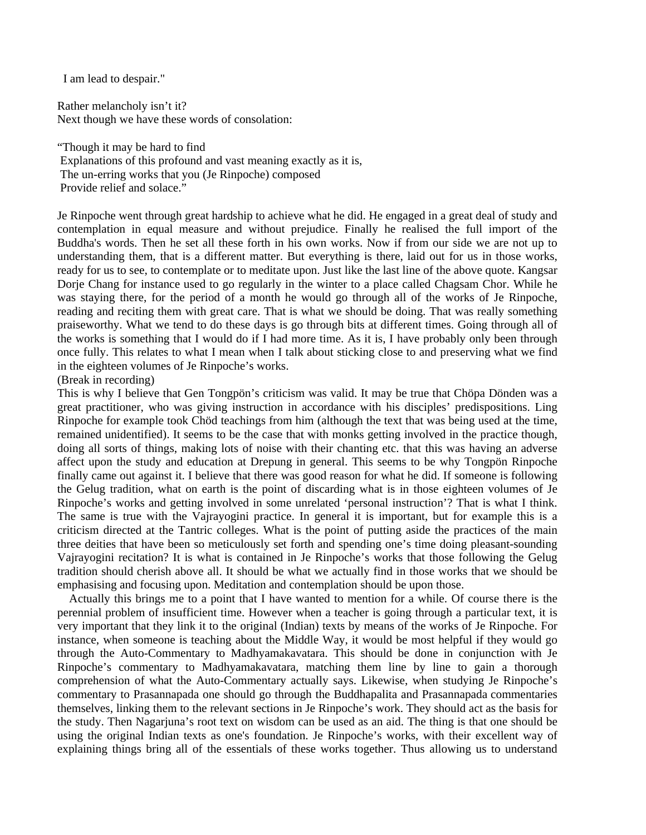I am lead to despair."

Rather melancholy isn't it? Next though we have these words of consolation:

"Though it may be hard to find Explanations of this profound and vast meaning exactly as it is, The un-erring works that you (Je Rinpoche) composed Provide relief and solace."

Je Rinpoche went through great hardship to achieve what he did. He engaged in a great deal of study and contemplation in equal measure and without prejudice. Finally he realised the full import of the Buddha's words. Then he set all these forth in his own works. Now if from our side we are not up to understanding them, that is a different matter. But everything is there, laid out for us in those works, ready for us to see, to contemplate or to meditate upon. Just like the last line of the above quote. Kangsar Dorje Chang for instance used to go regularly in the winter to a place called Chagsam Chor. While he was staying there, for the period of a month he would go through all of the works of Je Rinpoche, reading and reciting them with great care. That is what we should be doing. That was really something praiseworthy. What we tend to do these days is go through bits at different times. Going through all of the works is something that I would do if I had more time. As it is, I have probably only been through once fully. This relates to what I mean when I talk about sticking close to and preserving what we find in the eighteen volumes of Je Rinpoche's works.

## (Break in recording)

This is why I believe that Gen Tongpön's criticism was valid. It may be true that Chöpa Dönden was a great practitioner, who was giving instruction in accordance with his disciples' predispositions. Ling Rinpoche for example took Chöd teachings from him (although the text that was being used at the time, remained unidentified). It seems to be the case that with monks getting involved in the practice though, doing all sorts of things, making lots of noise with their chanting etc. that this was having an adverse affect upon the study and education at Drepung in general. This seems to be why Tongpön Rinpoche finally came out against it. I believe that there was good reason for what he did. If someone is following the Gelug tradition, what on earth is the point of discarding what is in those eighteen volumes of Je Rinpoche's works and getting involved in some unrelated 'personal instruction'? That is what I think. The same is true with the Vajrayogini practice. In general it is important, but for example this is a criticism directed at the Tantric colleges. What is the point of putting aside the practices of the main three deities that have been so meticulously set forth and spending one's time doing pleasant-sounding Vajrayogini recitation? It is what is contained in Je Rinpoche's works that those following the Gelug tradition should cherish above all. It should be what we actually find in those works that we should be emphasising and focusing upon. Meditation and contemplation should be upon those.

 Actually this brings me to a point that I have wanted to mention for a while. Of course there is the perennial problem of insufficient time. However when a teacher is going through a particular text, it is very important that they link it to the original (Indian) texts by means of the works of Je Rinpoche. For instance, when someone is teaching about the Middle Way, it would be most helpful if they would go through the Auto-Commentary to Madhyamakavatara. This should be done in conjunction with Je Rinpoche's commentary to Madhyamakavatara, matching them line by line to gain a thorough comprehension of what the Auto-Commentary actually says. Likewise, when studying Je Rinpoche's commentary to Prasannapada one should go through the Buddhapalita and Prasannapada commentaries themselves, linking them to the relevant sections in Je Rinpoche's work. They should act as the basis for the study. Then Nagarjuna's root text on wisdom can be used as an aid. The thing is that one should be using the original Indian texts as one's foundation. Je Rinpoche's works, with their excellent way of explaining things bring all of the essentials of these works together. Thus allowing us to understand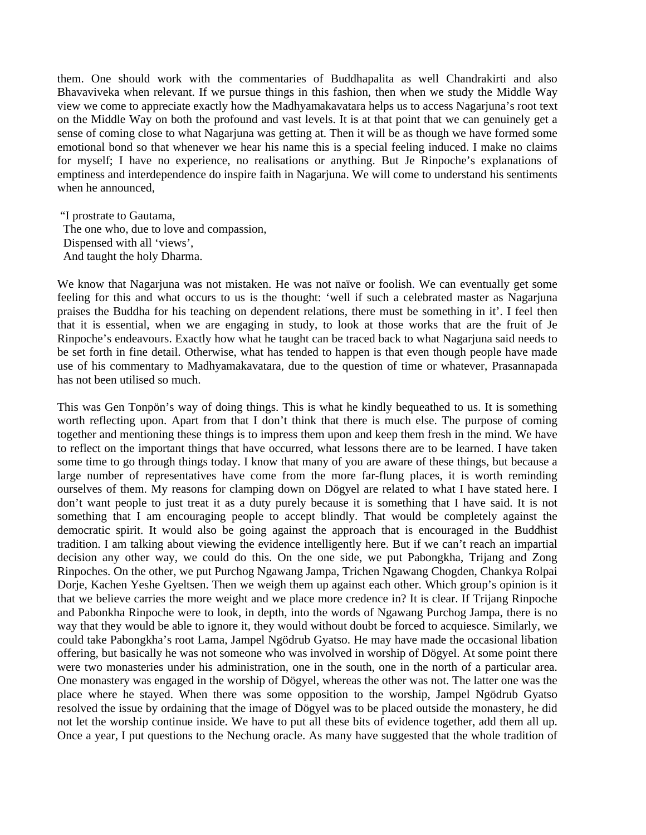them. One should work with the commentaries of Buddhapalita as well Chandrakirti and also Bhavaviveka when relevant. If we pursue things in this fashion, then when we study the Middle Way view we come to appreciate exactly how the Madhyamakavatara helps us to access Nagarjuna's root text on the Middle Way on both the profound and vast levels. It is at that point that we can genuinely get a sense of coming close to what Nagarjuna was getting at. Then it will be as though we have formed some emotional bond so that whenever we hear his name this is a special feeling induced. I make no claims for myself; I have no experience, no realisations or anything. But Je Rinpoche's explanations of emptiness and interdependence do inspire faith in Nagarjuna. We will come to understand his sentiments when he announced,

 "I prostrate to Gautama, The one who, due to love and compassion, Dispensed with all 'views', And taught the holy Dharma.

We know that Nagarjuna was not mistaken. He was not naïve or foolish. We can eventually get some feeling for this and what occurs to us is the thought: 'well if such a celebrated master as Nagarjuna praises the Buddha for his teaching on dependent relations, there must be something in it'. I feel then that it is essential, when we are engaging in study, to look at those works that are the fruit of Je Rinpoche's endeavours. Exactly how what he taught can be traced back to what Nagarjuna said needs to be set forth in fine detail. Otherwise, what has tended to happen is that even though people have made use of his commentary to Madhyamakavatara, due to the question of time or whatever, Prasannapada has not been utilised so much.

This was Gen Tonpön's way of doing things. This is what he kindly bequeathed to us. It is something worth reflecting upon. Apart from that I don't think that there is much else. The purpose of coming together and mentioning these things is to impress them upon and keep them fresh in the mind. We have to reflect on the important things that have occurred, what lessons there are to be learned. I have taken some time to go through things today. I know that many of you are aware of these things, but because a large number of representatives have come from the more far-flung places, it is worth reminding ourselves of them. My reasons for clamping down on Dögyel are related to what I have stated here. I don't want people to just treat it as a duty purely because it is something that I have said. It is not something that I am encouraging people to accept blindly. That would be completely against the democratic spirit. It would also be going against the approach that is encouraged in the Buddhist tradition. I am talking about viewing the evidence intelligently here. But if we can't reach an impartial decision any other way, we could do this. On the one side, we put Pabongkha, Trijang and Zong Rinpoches. On the other, we put Purchog Ngawang Jampa, Trichen Ngawang Chogden, Chankya Rolpai Dorje, Kachen Yeshe Gyeltsen. Then we weigh them up against each other. Which group's opinion is it that we believe carries the more weight and we place more credence in? It is clear. If Trijang Rinpoche and Pabonkha Rinpoche were to look, in depth, into the words of Ngawang Purchog Jampa, there is no way that they would be able to ignore it, they would without doubt be forced to acquiesce. Similarly, we could take Pabongkha's root Lama, Jampel Ngödrub Gyatso. He may have made the occasional libation offering, but basically he was not someone who was involved in worship of Dögyel. At some point there were two monasteries under his administration, one in the south, one in the north of a particular area. One monastery was engaged in the worship of Dögyel, whereas the other was not. The latter one was the place where he stayed. When there was some opposition to the worship, Jampel Ngödrub Gyatso resolved the issue by ordaining that the image of Dögyel was to be placed outside the monastery, he did not let the worship continue inside. We have to put all these bits of evidence together, add them all up. Once a year, I put questions to the Nechung oracle. As many have suggested that the whole tradition of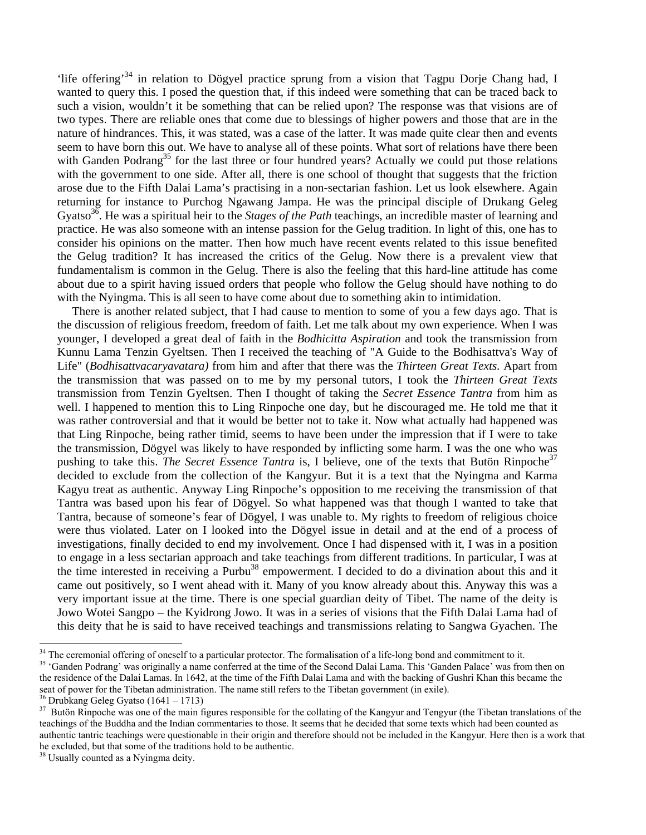'life offering'34 in relation to Dögyel practice sprung from a vision that Tagpu Dorje Chang had, I wanted to query this. I posed the question that, if this indeed were something that can be traced back to such a vision, wouldn't it be something that can be relied upon? The response was that visions are of two types. There are reliable ones that come due to blessings of higher powers and those that are in the nature of hindrances. This, it was stated, was a case of the latter. It was made quite clear then and events seem to have born this out. We have to analyse all of these points. What sort of relations have there been with Ganden Podrang<sup>35</sup> for the last three or four hundred years? Actually we could put those relations with the government to one side. After all, there is one school of thought that suggests that the friction arose due to the Fifth Dalai Lama's practising in a non-sectarian fashion. Let us look elsewhere. Again returning for instance to Purchog Ngawang Jampa. He was the principal disciple of Drukang Geleg Gyatso<sup>36</sup>. He was a spiritual heir to the *Stages of the Path* teachings, an incredible master of learning and practice. He was also someone with an intense passion for the Gelug tradition. In light of this, one has to consider his opinions on the matter. Then how much have recent events related to this issue benefited the Gelug tradition? It has increased the critics of the Gelug. Now there is a prevalent view that fundamentalism is common in the Gelug. There is also the feeling that this hard-line attitude has come about due to a spirit having issued orders that people who follow the Gelug should have nothing to do with the Nyingma. This is all seen to have come about due to something akin to intimidation.

 There is another related subject, that I had cause to mention to some of you a few days ago. That is the discussion of religious freedom, freedom of faith. Let me talk about my own experience. When I was younger, I developed a great deal of faith in the *Bodhicitta Aspiration* and took the transmission from Kunnu Lama Tenzin Gyeltsen. Then I received the teaching of "A Guide to the Bodhisattva's Way of Life" (*Bodhisattvacaryavatara)* from him and after that there was the *Thirteen Great Texts.* Apart from the transmission that was passed on to me by my personal tutors, I took the *Thirteen Great Texts*  transmission from Tenzin Gyeltsen. Then I thought of taking the *Secret Essence Tantra* from him as well. I happened to mention this to Ling Rinpoche one day, but he discouraged me. He told me that it was rather controversial and that it would be better not to take it. Now what actually had happened was that Ling Rinpoche, being rather timid, seems to have been under the impression that if I were to take the transmission, Dögyel was likely to have responded by inflicting some harm. I was the one who was pushing to take this. *The Secret Essence Tantra* is, I believe, one of the texts that Butön Rinpoche<sup>37</sup> decided to exclude from the collection of the Kangyur. But it is a text that the Nyingma and Karma Kagyu treat as authentic. Anyway Ling Rinpoche's opposition to me receiving the transmission of that Tantra was based upon his fear of Dögyel. So what happened was that though I wanted to take that Tantra, because of someone's fear of Dögyel, I was unable to. My rights to freedom of religious choice were thus violated. Later on I looked into the Dögyel issue in detail and at the end of a process of investigations, finally decided to end my involvement. Once I had dispensed with it, I was in a position to engage in a less sectarian approach and take teachings from different traditions. In particular, I was at the time interested in receiving a Purbu<sup>38</sup> empowerment. I decided to do a divination about this and it came out positively, so I went ahead with it. Many of you know already about this. Anyway this was a very important issue at the time. There is one special guardian deity of Tibet. The name of the deity is Jowo Wotei Sangpo – the Kyidrong Jowo. It was in a series of visions that the Fifth Dalai Lama had of this deity that he is said to have received teachings and transmissions relating to Sangwa Gyachen. The

<sup>&</sup>lt;sup>34</sup> The ceremonial offering of oneself to a particular protector. The formalisation of a life-long bond and commitment to it.

<sup>&</sup>lt;sup>35</sup> 'Ganden Podrang' was originally a name conferred at the time of the Second Dalai Lama. This 'Ganden Palace' was from then on the residence of the Dalai Lamas. In 1642, at the time of the Fifth Dalai Lama and with the backing of Gushri Khan this became the seat of power for the Tibetan administration. The name still refers to the Tibetan government (in exile).

<sup>36</sup> Drubkang Geleg Gyatso (1641 – 1713)

<sup>&</sup>lt;sup>37</sup> Butön Rinpoche was one of the main figures responsible for the collating of the Kangyur and Tengyur (the Tibetan translations of the teachings of the Buddha and the Indian commentaries to those. It seems that he decided that some texts which had been counted as authentic tantric teachings were questionable in their origin and therefore should not be included in the Kangyur. Here then is a work that he excluded, but that some of the traditions hold to be authentic.

<sup>&</sup>lt;sup>38</sup> Usually counted as a Nyingma deity.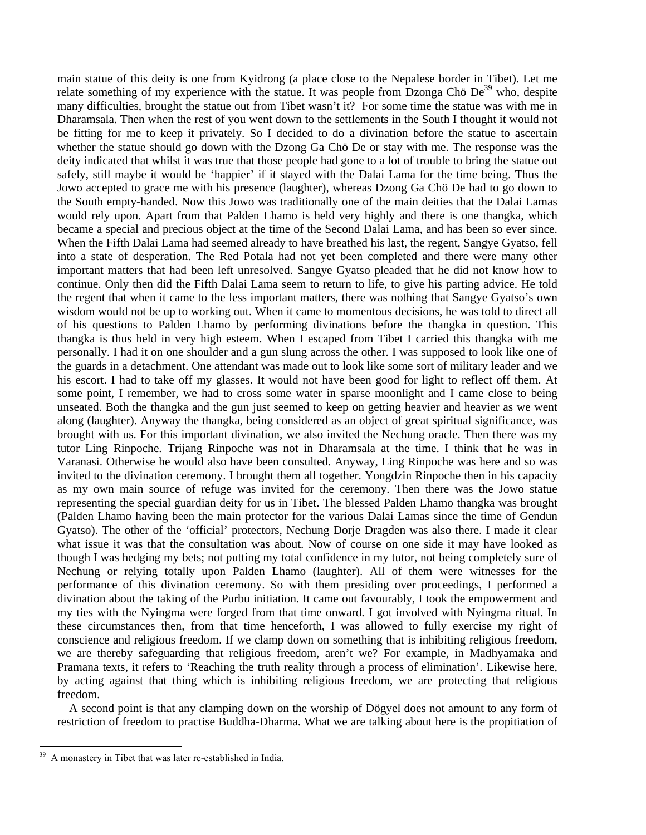main statue of this deity is one from Kyidrong (a place close to the Nepalese border in Tibet). Let me relate something of my experience with the statue. It was people from Dzonga Chö  $De^{39}$  who, despite many difficulties, brought the statue out from Tibet wasn't it? For some time the statue was with me in Dharamsala. Then when the rest of you went down to the settlements in the South I thought it would not be fitting for me to keep it privately. So I decided to do a divination before the statue to ascertain whether the statue should go down with the Dzong Ga Chö De or stay with me. The response was the deity indicated that whilst it was true that those people had gone to a lot of trouble to bring the statue out safely, still maybe it would be 'happier' if it stayed with the Dalai Lama for the time being. Thus the Jowo accepted to grace me with his presence (laughter), whereas Dzong Ga Chö De had to go down to the South empty-handed. Now this Jowo was traditionally one of the main deities that the Dalai Lamas would rely upon. Apart from that Palden Lhamo is held very highly and there is one thangka, which became a special and precious object at the time of the Second Dalai Lama, and has been so ever since. When the Fifth Dalai Lama had seemed already to have breathed his last, the regent, Sangye Gyatso, fell into a state of desperation. The Red Potala had not yet been completed and there were many other important matters that had been left unresolved. Sangye Gyatso pleaded that he did not know how to continue. Only then did the Fifth Dalai Lama seem to return to life, to give his parting advice. He told the regent that when it came to the less important matters, there was nothing that Sangye Gyatso's own wisdom would not be up to working out. When it came to momentous decisions, he was told to direct all of his questions to Palden Lhamo by performing divinations before the thangka in question. This thangka is thus held in very high esteem. When I escaped from Tibet I carried this thangka with me personally. I had it on one shoulder and a gun slung across the other. I was supposed to look like one of the guards in a detachment. One attendant was made out to look like some sort of military leader and we his escort. I had to take off my glasses. It would not have been good for light to reflect off them. At some point, I remember, we had to cross some water in sparse moonlight and I came close to being unseated. Both the thangka and the gun just seemed to keep on getting heavier and heavier as we went along (laughter). Anyway the thangka, being considered as an object of great spiritual significance, was brought with us. For this important divination, we also invited the Nechung oracle. Then there was my tutor Ling Rinpoche. Trijang Rinpoche was not in Dharamsala at the time. I think that he was in Varanasi. Otherwise he would also have been consulted. Anyway, Ling Rinpoche was here and so was invited to the divination ceremony. I brought them all together. Yongdzin Rinpoche then in his capacity as my own main source of refuge was invited for the ceremony. Then there was the Jowo statue representing the special guardian deity for us in Tibet. The blessed Palden Lhamo thangka was brought (Palden Lhamo having been the main protector for the various Dalai Lamas since the time of Gendun Gyatso). The other of the 'official' protectors, Nechung Dorje Dragden was also there. I made it clear what issue it was that the consultation was about. Now of course on one side it may have looked as though I was hedging my bets; not putting my total confidence in my tutor, not being completely sure of Nechung or relying totally upon Palden Lhamo (laughter). All of them were witnesses for the performance of this divination ceremony. So with them presiding over proceedings, I performed a divination about the taking of the Purbu initiation. It came out favourably, I took the empowerment and my ties with the Nyingma were forged from that time onward. I got involved with Nyingma ritual. In these circumstances then, from that time henceforth, I was allowed to fully exercise my right of conscience and religious freedom. If we clamp down on something that is inhibiting religious freedom, we are thereby safeguarding that religious freedom, aren't we? For example, in Madhyamaka and Pramana texts, it refers to 'Reaching the truth reality through a process of elimination'. Likewise here, by acting against that thing which is inhibiting religious freedom, we are protecting that religious freedom.

 A second point is that any clamping down on the worship of Dögyel does not amount to any form of restriction of freedom to practise Buddha-Dharma. What we are talking about here is the propitiation of

<sup>39</sup> A monastery in Tibet that was later re-established in India.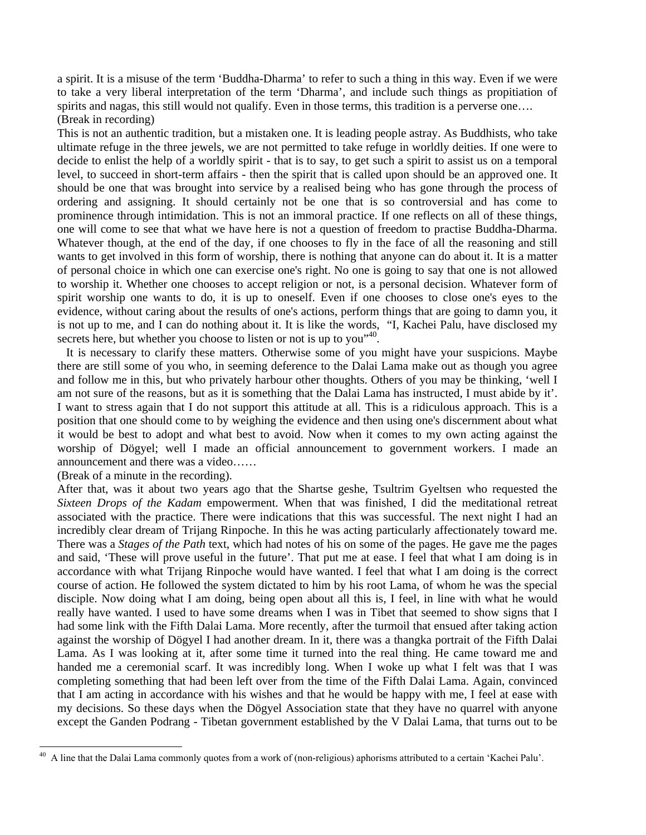a spirit. It is a misuse of the term 'Buddha-Dharma' to refer to such a thing in this way. Even if we were to take a very liberal interpretation of the term 'Dharma', and include such things as propitiation of spirits and nagas, this still would not qualify. Even in those terms, this tradition is a perverse one.... (Break in recording)

This is not an authentic tradition, but a mistaken one. It is leading people astray. As Buddhists, who take ultimate refuge in the three jewels, we are not permitted to take refuge in worldly deities. If one were to decide to enlist the help of a worldly spirit - that is to say, to get such a spirit to assist us on a temporal level, to succeed in short-term affairs - then the spirit that is called upon should be an approved one. It should be one that was brought into service by a realised being who has gone through the process of ordering and assigning. It should certainly not be one that is so controversial and has come to prominence through intimidation. This is not an immoral practice. If one reflects on all of these things, one will come to see that what we have here is not a question of freedom to practise Buddha-Dharma. Whatever though, at the end of the day, if one chooses to fly in the face of all the reasoning and still wants to get involved in this form of worship, there is nothing that anyone can do about it. It is a matter of personal choice in which one can exercise one's right. No one is going to say that one is not allowed to worship it. Whether one chooses to accept religion or not, is a personal decision. Whatever form of spirit worship one wants to do, it is up to oneself. Even if one chooses to close one's eyes to the evidence, without caring about the results of one's actions, perform things that are going to damn you, it is not up to me, and I can do nothing about it. It is like the words, "I, Kachei Palu, have disclosed my secrets here, but whether you choose to listen or not is up to you<sup>"40</sup>.

 It is necessary to clarify these matters. Otherwise some of you might have your suspicions. Maybe there are still some of you who, in seeming deference to the Dalai Lama make out as though you agree and follow me in this, but who privately harbour other thoughts. Others of you may be thinking, 'well I am not sure of the reasons, but as it is something that the Dalai Lama has instructed, I must abide by it'. I want to stress again that I do not support this attitude at all. This is a ridiculous approach. This is a position that one should come to by weighing the evidence and then using one's discernment about what it would be best to adopt and what best to avoid. Now when it comes to my own acting against the worship of Dögyel; well I made an official announcement to government workers. I made an announcement and there was a video……

(Break of a minute in the recording).

After that, was it about two years ago that the Shartse geshe, Tsultrim Gyeltsen who requested the *Sixteen Drops of the Kadam* empowerment. When that was finished, I did the meditational retreat associated with the practice. There were indications that this was successful. The next night I had an incredibly clear dream of Trijang Rinpoche. In this he was acting particularly affectionately toward me. There was a *Stages of the Path* text, which had notes of his on some of the pages. He gave me the pages and said, 'These will prove useful in the future'. That put me at ease. I feel that what I am doing is in accordance with what Trijang Rinpoche would have wanted. I feel that what I am doing is the correct course of action. He followed the system dictated to him by his root Lama, of whom he was the special disciple. Now doing what I am doing, being open about all this is, I feel, in line with what he would really have wanted. I used to have some dreams when I was in Tibet that seemed to show signs that I had some link with the Fifth Dalai Lama. More recently, after the turmoil that ensued after taking action against the worship of Dögyel I had another dream. In it, there was a thangka portrait of the Fifth Dalai Lama. As I was looking at it, after some time it turned into the real thing. He came toward me and handed me a ceremonial scarf. It was incredibly long. When I woke up what I felt was that I was completing something that had been left over from the time of the Fifth Dalai Lama. Again, convinced that I am acting in accordance with his wishes and that he would be happy with me, I feel at ease with my decisions. So these days when the Dögyel Association state that they have no quarrel with anyone except the Ganden Podrang - Tibetan government established by the V Dalai Lama, that turns out to be

 $40\,$ A line that the Dalai Lama commonly quotes from a work of (non-religious) aphorisms attributed to a certain 'Kachei Palu'.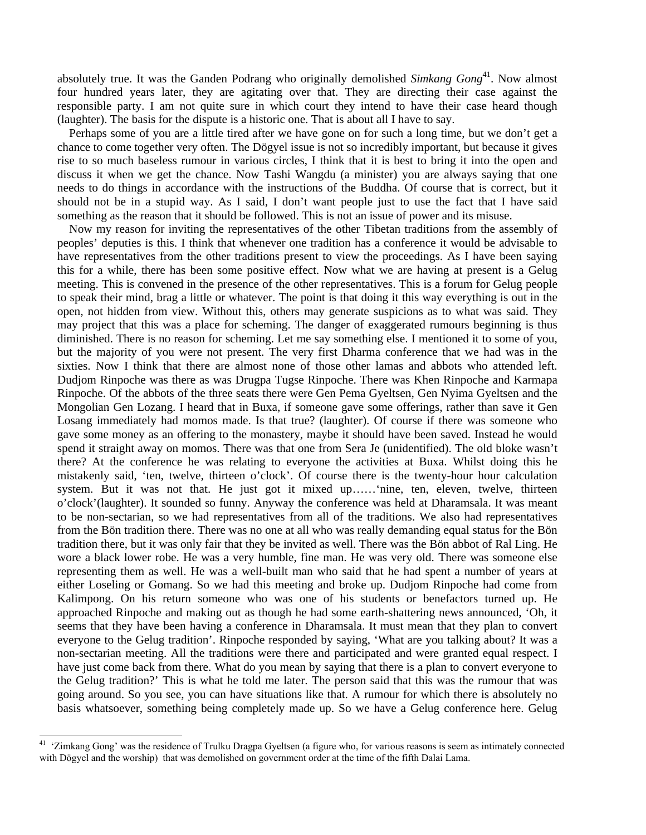absolutely true. It was the Ganden Podrang who originally demolished *Simkang Gong*<sup>41</sup>. Now almost four hundred years later, they are agitating over that. They are directing their case against the responsible party. I am not quite sure in which court they intend to have their case heard though (laughter). The basis for the dispute is a historic one. That is about all I have to say.

 Perhaps some of you are a little tired after we have gone on for such a long time, but we don't get a chance to come together very often. The Dögyel issue is not so incredibly important, but because it gives rise to so much baseless rumour in various circles, I think that it is best to bring it into the open and discuss it when we get the chance. Now Tashi Wangdu (a minister) you are always saying that one needs to do things in accordance with the instructions of the Buddha. Of course that is correct, but it should not be in a stupid way. As I said, I don't want people just to use the fact that I have said something as the reason that it should be followed. This is not an issue of power and its misuse.

 Now my reason for inviting the representatives of the other Tibetan traditions from the assembly of peoples' deputies is this. I think that whenever one tradition has a conference it would be advisable to have representatives from the other traditions present to view the proceedings. As I have been saying this for a while, there has been some positive effect. Now what we are having at present is a Gelug meeting. This is convened in the presence of the other representatives. This is a forum for Gelug people to speak their mind, brag a little or whatever. The point is that doing it this way everything is out in the open, not hidden from view. Without this, others may generate suspicions as to what was said. They may project that this was a place for scheming. The danger of exaggerated rumours beginning is thus diminished. There is no reason for scheming. Let me say something else. I mentioned it to some of you, but the majority of you were not present. The very first Dharma conference that we had was in the sixties. Now I think that there are almost none of those other lamas and abbots who attended left. Dudjom Rinpoche was there as was Drugpa Tugse Rinpoche. There was Khen Rinpoche and Karmapa Rinpoche. Of the abbots of the three seats there were Gen Pema Gyeltsen, Gen Nyima Gyeltsen and the Mongolian Gen Lozang. I heard that in Buxa, if someone gave some offerings, rather than save it Gen Losang immediately had momos made. Is that true? (laughter). Of course if there was someone who gave some money as an offering to the monastery, maybe it should have been saved. Instead he would spend it straight away on momos. There was that one from Sera Je (unidentified). The old bloke wasn't there? At the conference he was relating to everyone the activities at Buxa. Whilst doing this he mistakenly said, 'ten, twelve, thirteen o'clock'. Of course there is the twenty-hour hour calculation system. But it was not that. He just got it mixed up...... 'nine, ten, eleven, twelve, thirteen o'clock'(laughter). It sounded so funny. Anyway the conference was held at Dharamsala. It was meant to be non-sectarian, so we had representatives from all of the traditions. We also had representatives from the Bön tradition there. There was no one at all who was really demanding equal status for the Bön tradition there, but it was only fair that they be invited as well. There was the Bön abbot of Ral Ling. He wore a black lower robe. He was a very humble, fine man. He was very old. There was someone else representing them as well. He was a well-built man who said that he had spent a number of years at either Loseling or Gomang. So we had this meeting and broke up. Dudjom Rinpoche had come from Kalimpong. On his return someone who was one of his students or benefactors turned up. He approached Rinpoche and making out as though he had some earth-shattering news announced, 'Oh, it seems that they have been having a conference in Dharamsala. It must mean that they plan to convert everyone to the Gelug tradition'. Rinpoche responded by saying, 'What are you talking about? It was a non-sectarian meeting. All the traditions were there and participated and were granted equal respect. I have just come back from there. What do you mean by saying that there is a plan to convert everyone to the Gelug tradition?' This is what he told me later. The person said that this was the rumour that was going around. So you see, you can have situations like that. A rumour for which there is absolutely no basis whatsoever, something being completely made up. So we have a Gelug conference here. Gelug

<sup>&</sup>lt;sup>41</sup> 'Zimkang Gong' was the residence of Trulku Dragpa Gyeltsen (a figure who, for various reasons is seem as intimately connected with Dögyel and the worship) that was demolished on government order at the time of the fifth Dalai Lama.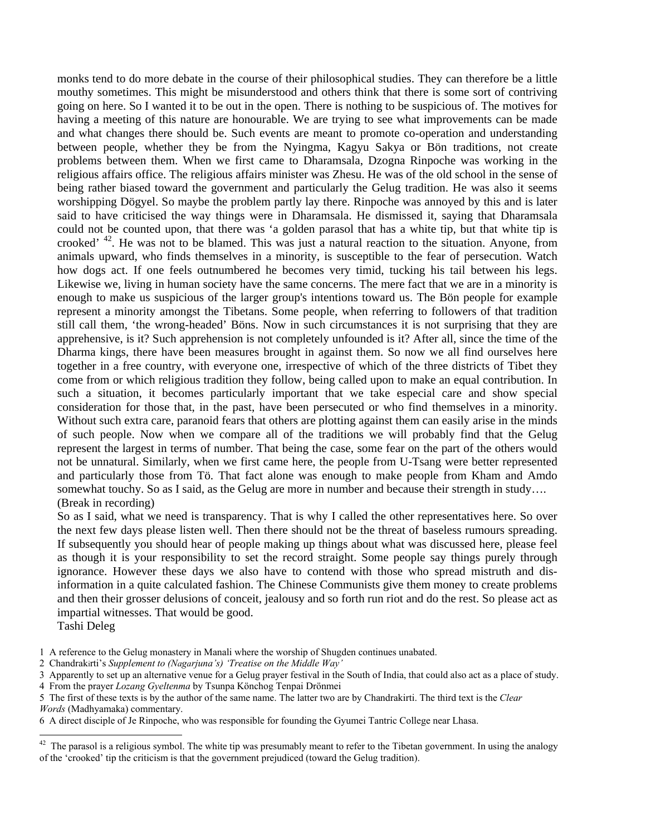monks tend to do more debate in the course of their philosophical studies. They can therefore be a little mouthy sometimes. This might be misunderstood and others think that there is some sort of contriving going on here. So I wanted it to be out in the open. There is nothing to be suspicious of. The motives for having a meeting of this nature are honourable. We are trying to see what improvements can be made and what changes there should be. Such events are meant to promote co-operation and understanding between people, whether they be from the Nyingma, Kagyu Sakya or Bön traditions, not create problems between them. When we first came to Dharamsala, Dzogna Rinpoche was working in the religious affairs office. The religious affairs minister was Zhesu. He was of the old school in the sense of being rather biased toward the government and particularly the Gelug tradition. He was also it seems worshipping Dögyel. So maybe the problem partly lay there. Rinpoche was annoyed by this and is later said to have criticised the way things were in Dharamsala. He dismissed it, saying that Dharamsala could not be counted upon, that there was 'a golden parasol that has a white tip, but that white tip is crooked' 42. He was not to be blamed. This was just a natural reaction to the situation. Anyone, from animals upward, who finds themselves in a minority, is susceptible to the fear of persecution. Watch how dogs act. If one feels outnumbered he becomes very timid, tucking his tail between his legs. Likewise we, living in human society have the same concerns. The mere fact that we are in a minority is enough to make us suspicious of the larger group's intentions toward us. The Bön people for example represent a minority amongst the Tibetans. Some people, when referring to followers of that tradition still call them, 'the wrong-headed' Böns. Now in such circumstances it is not surprising that they are apprehensive, is it? Such apprehension is not completely unfounded is it? After all, since the time of the Dharma kings, there have been measures brought in against them. So now we all find ourselves here together in a free country, with everyone one, irrespective of which of the three districts of Tibet they come from or which religious tradition they follow, being called upon to make an equal contribution. In such a situation, it becomes particularly important that we take especial care and show special consideration for those that, in the past, have been persecuted or who find themselves in a minority. Without such extra care, paranoid fears that others are plotting against them can easily arise in the minds of such people. Now when we compare all of the traditions we will probably find that the Gelug represent the largest in terms of number. That being the case, some fear on the part of the others would not be unnatural. Similarly, when we first came here, the people from U-Tsang were better represented and particularly those from Tö. That fact alone was enough to make people from Kham and Amdo somewhat touchy. So as I said, as the Gelug are more in number and because their strength in study... (Break in recording)

So as I said, what we need is transparency. That is why I called the other representatives here. So over the next few days please listen well. Then there should not be the threat of baseless rumours spreading. If subsequently you should hear of people making up things about what was discussed here, please feel as though it is your responsibility to set the record straight. Some people say things purely through ignorance. However these days we also have to contend with those who spread mistruth and disinformation in a quite calculated fashion. The Chinese Communists give them money to create problems and then their grosser delusions of conceit, jealousy and so forth run riot and do the rest. So please act as impartial witnesses. That would be good.

Tashi Deleg

<sup>1</sup> A reference to the Gelug monastery in Manali where the worship of Shugden continues unabated.

<sup>2</sup> Chandrakirti's *Supplement to (Nagarjuna's) 'Treatise on the Middle Way'*

<sup>3</sup> Apparently to set up an alternative venue for a Gelug prayer festival in the South of India, that could also act as a place of study. 4 From the prayer *Lozang Gyeltenma* by Tsunpa Könchog Tenpai Drönmei

<sup>5</sup> The first of these texts is by the author of the same name. The latter two are by Chandrakirti. The third text is the *Clear Words* (Madhyamaka) commentary.

<sup>6</sup> A direct disciple of Je Rinpoche, who was responsible for founding the Gyumei Tantric College near Lhasa.

 $42$  The parasol is a religious symbol. The white tip was presumably meant to refer to the Tibetan government. In using the analogy of the 'crooked' tip the criticism is that the government prejudiced (toward the Gelug tradition).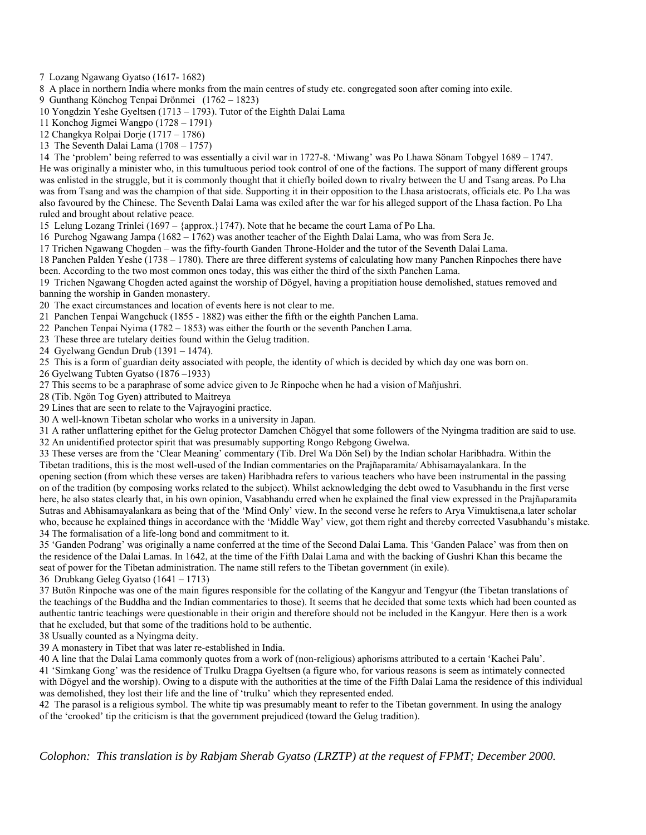7 Lozang Ngawang Gyatso (1617- 1682)

8 A place in northern India where monks from the main centres of study etc. congregated soon after coming into exile.

9 Gunthang Könchog Tenpai Drönmei (1762 – 1823)

10 Yongdzin Yeshe Gyeltsen (1713 – 1793). Tutor of the Eighth Dalai Lama

11 Konchog Jigmei Wangpo (1728 – 1791)

12 Changkya Rolpai Dorje (1717 – 1786)

13 The Seventh Dalai Lama (1708 – 1757)

14 The 'problem' being referred to was essentially a civil war in 1727-8. 'Miwang' was Po Lhawa Sönam Tobgyel 1689 – 1747. He was originally a minister who, in this tumultuous period took control of one of the factions. The support of many different groups was enlisted in the struggle, but it is commonly thought that it chiefly boiled down to rivalry between the U and Tsang areas. Po Lha was from Tsang and was the champion of that side. Supporting it in their opposition to the Lhasa aristocrats, officials etc. Po Lha was also favoured by the Chinese. The Seventh Dalai Lama was exiled after the war for his alleged support of the Lhasa faction. Po Lha ruled and brought about relative peace.

15 Lelung Lozang Trinlei (1697 – {approx.}1747). Note that he became the court Lama of Po Lha.

16 Purchog Ngawang Jampa (1682 – 1762) was another teacher of the Eighth Dalai Lama, who was from Sera Je.

17 Trichen Ngawang Chogden – was the fifty-fourth Ganden Throne-Holder and the tutor of the Seventh Dalai Lama.

18 Panchen Palden Yeshe (1738 – 1780). There are three different systems of calculating how many Panchen Rinpoches there have been. According to the two most common ones today, this was either the third of the sixth Panchen Lama.

19 Trichen Ngawang Chogden acted against the worship of Dögyel, having a propitiation house demolished, statues removed and banning the worship in Ganden monastery.

20 The exact circumstances and location of events here is not clear to me.

21 Panchen Tenpai Wangchuck (1855 - 1882) was either the fifth or the eighth Panchen Lama.

22 Panchen Tenpai Nyima (1782 – 1853) was either the fourth or the seventh Panchen Lama.

23 These three are tutelary deities found within the Gelug tradition.

24 Gyelwang Gendun Drub (1391 – 1474).

25 This is a form of guardian deity associated with people, the identity of which is decided by which day one was born on.

26 Gyelwang Tubten Gyatso (1876 –1933)

27 This seems to be a paraphrase of some advice given to Je Rinpoche when he had a vision of Mañjushri.

28 (Tib. Ngön Tog Gyen) attributed to Maitreya

29 Lines that are seen to relate to the Vajrayogini practice.

30 A well-known Tibetan scholar who works in a university in Japan.

31 A rather unflattering epithet for the Gelug protector Damchen Chögyel that some followers of the Nyingma tradition are said to use.

32 An unidentified protector spirit that was presumably supporting Rongo Rebgong Gwelwa.

33 These verses are from the 'Clear Meaning' commentary (Tib. Drel Wa Dön Sel) by the Indian scholar Haribhadra. Within the Tibetan traditions, this is the most well-used of the Indian commentaries on the Prajñaparamita/ Abhisamayalankara. In the

opening section (from which these verses are taken) Haribhadra refers to various teachers who have been instrumental in the passing on of the tradition (by composing works related to the subject). Whilst acknowledging the debt owed to Vasubhandu in the first verse here, he also states clearly that, in his own opinion, Vasabhandu erred when he explained the final view expressed in the Prajñaparamita Sutras and Abhisamayalankara as being that of the 'Mind Only' view. In the second verse he refers to Arya Vimuktisena,a later scholar who, because he explained things in accordance with the 'Middle Way' view, got them right and thereby corrected Vasubhandu's mistake. 34 The formalisation of a life-long bond and commitment to it.

35 'Ganden Podrang' was originally a name conferred at the time of the Second Dalai Lama. This 'Ganden Palace' was from then on the residence of the Dalai Lamas. In 1642, at the time of the Fifth Dalai Lama and with the backing of Gushri Khan this became the seat of power for the Tibetan administration. The name still refers to the Tibetan government (in exile).

36 Drubkang Geleg Gyatso (1641 – 1713)

37 Butön Rinpoche was one of the main figures responsible for the collating of the Kangyur and Tengyur (the Tibetan translations of the teachings of the Buddha and the Indian commentaries to those). It seems that he decided that some texts which had been counted as authentic tantric teachings were questionable in their origin and therefore should not be included in the Kangyur. Here then is a work that he excluded, but that some of the traditions hold to be authentic.

38 Usually counted as a Nyingma deity.

39 A monastery in Tibet that was later re-established in India.

40 A line that the Dalai Lama commonly quotes from a work of (non-religious) aphorisms attributed to a certain 'Kachei Palu'.

41 'Simkang Gong' was the residence of Trulku Dragpa Gyeltsen (a figure who, for various reasons is seem as intimately connected with Dögyel and the worship). Owing to a dispute with the authorities at the time of the Fifth Dalai Lama the residence of this individual was demolished, they lost their life and the line of 'trulku' which they represented ended.

42 The parasol is a religious symbol. The white tip was presumably meant to refer to the Tibetan government. In using the analogy of the 'crooked' tip the criticism is that the government prejudiced (toward the Gelug tradition).

*Colophon: This translation is by Rabjam Sherab Gyatso (LRZTP) at the request of FPMT; December 2000.*